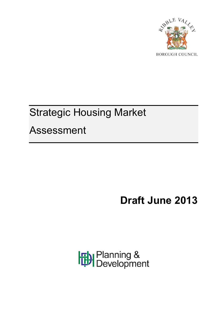

# Strategic Housing Market Assessment

# **Draft June 2013**

Planning &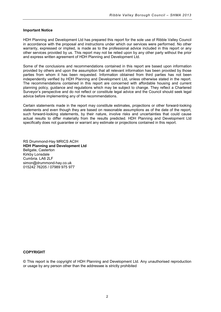#### **Important Notice**

HDH Planning and Development Ltd has prepared this report for the sole use of Ribble Valley Council in accordance with the proposal and instructions under which our services were performed. No other warranty, expressed or implied, is made as to the professional advice included in this report or any other services provided by us. This report may not be relied upon by any other party without the prior and express written agreement of HDH Planning and Development Ltd.

Some of the conclusions and recommendations contained in this report are based upon information provided by others and upon the assumption that all relevant information has been provided by those parties from whom it has been requested. Information obtained from third parties has not been independently verified by HDH Planning and Development Ltd, unless otherwise stated in the report. The recommendations contained in this report are concerned with affordable housing and current planning policy, guidance and regulations which may be subject to change. They reflect a Chartered Surveyor's perspective and do not reflect or constitute legal advice and the Council should seek legal advice before implementing any of the recommendations.

Certain statements made in the report may constitute estimates, projections or other forward-looking statements and even though they are based on reasonable assumptions as of the date of the report, such forward-looking statements, by their nature, involve risks and uncertainties that could cause actual results to differ materially from the results predicted. HDH Planning and Development Ltd specifically does not guarantee or warrant any estimate or projections contained in this report.

RS Drummond-Hay MRICS ACIH **HDH Planning and Development Ltd** Bellgate, Casterton Kirkby Lonsdale Cumbria. LA6 2LF simon@drummond-hay.co.uk 015242 76205 / 07989 975 977

#### **COPYRIGHT**

© This report is the copyright of HDH Planning and Development Ltd. Any unauthorised reproduction or usage by any person other than the addressee is strictly prohibited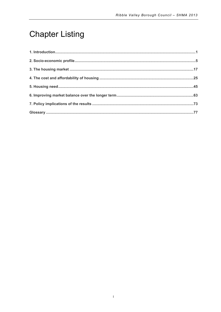# **Chapter Listing**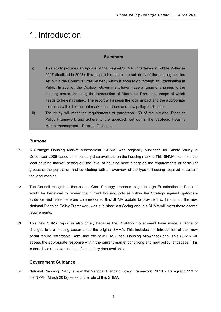### <span id="page-4-0"></span>1. Introduction

#### **Summary**

- i) This study provides an update of the original SHMA undertaken in Ribble Valley in 2007 (finalised in 2008). It is required to check the suitability of the housing policies set out in the Council's Core Strategy which is soon to go through an Examination in Public. In addition the Coalition Government have made a range of changes to the housing sector, including the introduction of Affordable Rent - the scope of which needs to be established. The report will assess the local impact and the appropriate response within the current market conditions and new policy landscape.
- ii) The study will meet the requirements of paragraph 159 of the National Planning Policy Framework and adhere to the approach set out in the Strategic Housing Market Assessment – Practice Guidance.

#### **Purpose**

- 1.1 A Strategic Housing Market Assessment (SHMA) was originally published for Ribble Valley in December 2008 based on secondary data available on the housing market. This SHMA examined the local housing market, setting out the level of housing need alongside the requirements of particular groups of the population and concluding with an overview of the type of housing required to sustain the local market.
- 1.2 The Council recognises that as the Core Strategy prepares to go through Examination in Public it would be beneficial to review the current housing policies within the Strategy against up-to-date evidence and have therefore commissioned this SHMA update to provide this. In addition the new National Planning Policy Framework was published last Spring and this SHMA will meet these altered requirements.
- 1.3 This new SHMA report is also timely because the Coalition Government have made a range of changes to the housing sector since the original SHMA. This includes the introduction of the new social tenure 'Affordable Rent' and the new LHA (Local Housing Allowance) cap. This SHMA will assess the appropriate response within the current market conditions and new policy landscape. This is done by direct examination of secondary data available.

#### **Government Guidance**

1.4 National Planning Policy is now the National Planning Policy Framework (NPPF). Paragraph 159 of the NPPF (March 2012) sets out the role of this SHMA.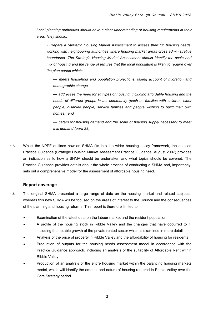*Local planning authorities should have a clear understanding of housing requirements in their area. They should:* 

*• Prepare a Strategic Housing Market Assessment to assess their full housing needs, working with neighbouring authorities where housing market areas cross administrative boundaries. The Strategic Housing Market Assessment should identify the scale and mix of housing and the range of tenures that the local population is likely to require over the plan period which:* 

*–– meets household and population projections, taking account of migration and demographic change* 

*–– addresses the need for all types of housing, including affordable housing and the needs of different groups in the community (such as families with children, older people, disabled people, service families and people wishing to build their own homes); and* 

*–– caters for housing demand and the scale of housing supply necessary to meet this demand (para 28)*

1.5 Whilst the NPPF outlines how an SHMA fits into the wider housing policy framework, the detailed Practice Guidance (Strategic Housing Market Assessment Practice Guidance, August 2007) provides an indication as to how a SHMA should be undertaken and what topics should be covered. The Practice Guidance provides details about the whole process of conducting a SHMA and, importantly, sets out a comprehensive model for the assessment of affordable housing need.

#### **Report coverage**

- 1.6 The original SHMA presented a large range of data on the housing market and related subjects, whereas this new SHMA will be focused on the areas of interest to the Council and the consequences of the planning and housing reforms. This report is therefore limited to:
	- Examination of the latest data on the labour market and the resident population
	- A profile of the housing stock in Ribble Valley and the changes that have occurred to it, including the notable growth of the private rented sector which is examined in more detail
	- Analysis of the price of property in Ribble Valley and the affordability of housing for residents
	- Production of outputs for the housing needs assessment model in accordance with the Practice Guidance approach, including an analysis of the suitability of Affordable Rent within Ribble Valley
	- Production of an analysis of the entire housing market within the balancing housing markets model, which will identify the amount and nature of housing required in Ribble Valley over the Core Strategy period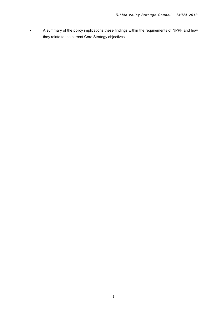• A summary of the policy implications these findings within the requirements of NPPF and how they relate to the current Core Strategy objectives.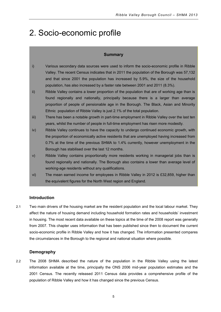## <span id="page-8-0"></span>2. Socio-economic profile

#### **Summary**

- i) Various secondary data sources were used to inform the socio-economic profile in Ribble Valley. The recent Census indicates that in 2011 the population of the Borough was 57,132 and that since 2001 the population has increased by 5.9%, the size of the household population, has also increased by a faster rate between 2001 and 2011 (8.3%).
- ii) Ribble Valley contains a lower proportion of the population that are of working age than is found regionally and nationally, principally because there is a larger than average proportion of people of pensionable age in the Borough. The Black, Asian and Minority Ethnic population of Ribble Valley is just 2.1% of the total population.
- iii) There has been a notable growth in part-time employment in Ribble Valley over the last ten years, whilst the number of people in full-time employment has risen more modestly.
- iv) Ribble Valley continues to have the capacity to undergo continued economic growth, with the proportion of economically active residents that are unemployed having increased from 0.7% at the time of the previous SHMA to 1.4% currently, however unemployment in the Borough has stabilised over the last 12 months.
- v) Ribble Valley contains proportionally more residents working in managerial jobs than is found regionally and nationally. The Borough also contains a lower than average level of working-age residents without any qualifications.
- vi) The mean earned income for employees in Ribble Valley in 2012 is £32,859, higher than the equivalent figures for the North West region and England.

#### **Introduction**

2.1 Two main drivers of the housing market are the resident population and the local labour market. They affect the nature of housing demand including household formation rates and households' investment in housing. The most recent data available on these topics at the time of the 2008 report was generally from 2007. This chapter uses information that has been published since then to document the current socio-economic profile in Ribble Valley and how it has changed. The information presented compares the circumstances in the Borough to the regional and national situation where possible.

#### **Demography**

2.2 The 2008 SHMA described the nature of the population in the Ribble Valley using the latest information available at the time, principally the ONS 2006 mid-year population estimates and the 2001 Census. The recently released 2011 Census data provides a comprehensive profile of the population of Ribble Valley and how it has changed since the previous Census.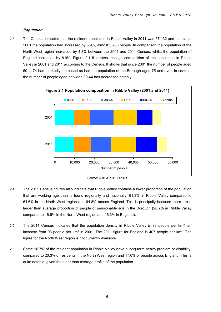#### **Population**

2.3 The Census indicates that the resident population in Ribble Valley in 2011 was 57,132 and that since 2001 the population had increased by 5.9%, almost 3,200 people. In comparison the population of the North West region increased by 4.8% between the 2001 and 2011 Census, whilst the population of England increased by 8.9%. Figure 2.1 illustrates the age composition of the population in Ribble Valley in 2001 and 2011 according to the Census. It shows that since 2001 the number of people aged 60 to 74 has markedly increased as has the population of the Borough aged 75 and over. In contrast the number of people aged between 30-44 has decreased notably .



Source: 2001 & 2011 Census

- 2.4 The 2011 Census figures also indicate that Ribble Valley contains a lower proportion of the population that are working age than is found regionally and nationally: 61.3% in Ribble Valley compared to 64.6% in the North West region and 64.8% across England. This is principally because there are a larger than average proportion of people of pensionable age in the Borough (20.2% in Ribble Valley compared to 16.6% in the North West region and 16.3% in England).
- 2.5 The 2011 Census indicates that the population density in Ribble Valley is 98 people per km<sup>2</sup>, an increase from 93 people per km<sup>2</sup> in 2001. The 2011 figure for England is 407 people per km<sup>2</sup>. The figure for the North West region is not currently available.
- 2.6 Some 16.7% of the resident population in Ribble Valley have a long-term health problem or disability, compared to 20.3% of residents in the North West region and 17.6% of people across England. This is quite notable, given the older than average profile of the population.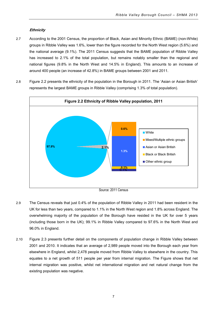#### **Ethnicity**

- 2.7 According to the 2001 Census, the proportion of Black, Asian and Minority Ethnic (BAME) (non-White) groups in Ribble Valley was 1.6%, lower than the figure recorded for the North West region (5.6%) and the national average (9.1%). The 2011 Census suggests that the BAME population of Ribble Valley has increased to 2.1% of the total population, but remains notably smaller than the regional and national figures (9.8% in the North West and 14.5% in England). This amounts to an increase of around 400 people (an increase of 42.8%) in BAME groups between 2001 and 2011.
- 2.8 Figure 2.2 presents the ethnicity of the population in the Borough in 2011. The 'Asian or Asian British' represents the largest BAME groups in Ribble Valley (comprising 1.3% of total population).



- 2.9 The Census reveals that just 0.4% of the population of Ribble Valley in 2011 had been resident in the UK for less than two years, compared to 1.1% in the North West region and 1.8% across England. The overwhelming majority of the population of the Borough have resided in the UK for over 5 years (including those born in the UK); 99.1% in Ribble Valley compared to 97.6% in the North West and 96.0% in England.
- 2.10 Figure 2.3 presents further detail on the components of population change in Ribble Valley between 2001 and 2010. It indicates that an average of 2,989 people moved into the Borough each year from elsewhere in England, whilst 2,478 people moved from Ribble Valley to elsewhere in the country. This equates to a net growth of 511 people per year from internal migration. The Figure shows that net internal migration was positive, whilst net international migration and net natural change from the existing population was negative.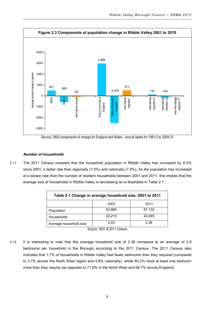

Source: ONS components of change for England and Wales - annual tables for 1991-2 to 2009-10

#### **Number of households**

2.11 The 2011 Census revealed that the household population in Ribble Valley has increased by 8.3% since 2001, a faster rate than regionally (7.0%) and nationally (7.9%). As the population has increased at a slower rate than the number of resident households between 2001 and 2011, this implies that the average size of households in Ribble Valley is decreasing as is illustrated in Table 2.1.

| Table 2.1 Change in average household size, 2001 to 2011 |        |        |  |
|----------------------------------------------------------|--------|--------|--|
|                                                          | 2001   | 2011   |  |
| Population                                               | 53,960 | 57,132 |  |
| Households                                               | 22,210 | 24.045 |  |
| Average household size                                   | 2.43   | 2.38   |  |

Source: 2001 & 2011 Census

2.12 It is interesting to note that this average household size of 2.38 compares to an average of 2.9 bedrooms per household in the Borough according to the 2011 Census. The 2011 Census also indicates that 1.7% of households in Ribble Valley had fewer bedrooms than they required (compared to 3.7% across the North West region and 4.8% nationally), whilst 80.2% have at least one bedroom more than they require (as opposed to 71.6% in the North West and 68.7% across England).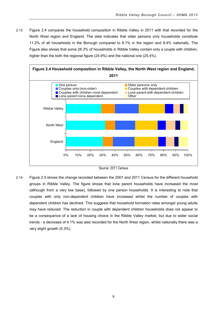2.13 Figure 2.4 compares the household composition in Ribble Valley in 2011 with that recorded for the North West region and England. The data indicates that older persons only households constitute 11.2% of all households in the Borough compared to 8.1% in the region and 8.4% nationally. The Figure also shows that some 28.3% of households in Ribble Valley contain only a couple with children, higher than the both the regional figure (24.9%) and the national one (25.4%).



Source: 2011 Census

2.14 Figure 2.5 shows the change recorded between the 2001 and 2011 Census for the different household groups in Ribble Valley. The figure shows that lone parent households have increased the most (although from a very low base), followed by one person households. It is interesting to note that couples with only non-dependent children have increased whilst the number of couples with dependent children has declined. This suggests that household formation rates amongst young adults may have reduced. The reduction in couple with dependent children households does not appear to be a consequence of a lack of housing choice in the Ribble Valley market, but due to wider social trends - a decrease of 4.1% was also recorded for the North West region, whilst nationally there was a very slight growth (0.3%).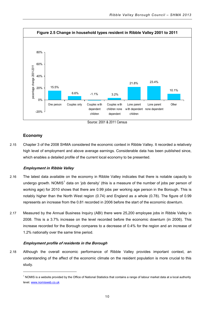

Source: 2001 & 2011 Census

#### **Economy**

-

2.15 Chapter 3 of the 2008 SHMA considered the economic context in Ribble Valley. It recorded a relatively high level of employment and above average earnings. Considerable data has been published since, which enables a detailed profile of the current local economy to be presented.

#### **Employment in Ribble Valley**

- 2.16 The latest data available on the economy in Ribble Valley indicates that there is notable capacity to undergo growth. NOMIS<sup>[1](#page-13-0)</sup> data on 'job density' (this is a measure of the number of jobs per person of working age) for 2010 shows that there are 0.99 jobs per working age person in the Borough. This is notably higher than the North West region (0.74) and England as a whole (0.78). The figure of 0.99 represents an increase from the 0.81 recorded in 2006 before the start of the economic downturn.
- 2.17 Measured by the Annual Business Inquiry (ABI) there were 25,200 employee jobs in Ribble Valley in 2008. This is a 3.7% increase on the level recorded before the economic downturn (in 2006). This increase recorded for the Borough compares to a decrease of 0.4% for the region and an increase of 1.2% nationally over the same time period.

#### **Employment profile of residents in the Borough**

2.18 Although the overall economic performance of Ribble Valley provides important context, an understanding of the affect of the economic climate on the resident population is more crucial to this study.

<span id="page-13-0"></span> $1$  NOMIS is a website provided by the Office of National Statistics that contains a range of labour market data at a local authority level[. www.nomisweb.co.uk](http://www.nomisweb.co.uk/)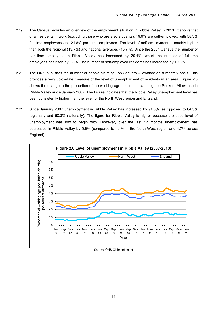- 2.19 The Census provides an overview of the employment situation in Ribble Valley in 2011. It shows that of all residents in work (excluding those who are also students), 19.9% are self-employed, with 58.3% full-time employees and 21.8% part-time employees. The level of self-employment is notably higher than both the regional (13.7%) and national averages (15.7%). Since the 2001 Census the number of part-time employees in Ribble Valley has increased by 20.4%, whilst the number of full-time employees has risen by 3.3%. The number of self-employed residents has increased by 10.3%.
- 2.20 The ONS publishes the number of people claiming Job Seekers Allowance on a monthly basis. This provides a very up-to-date measure of the level of unemployment of residents in an area. Figure 2.6 shows the change in the proportion of the working age population claiming Job Seekers Allowance in Ribble Valley since January 2007. The Figure indicates that the Ribble Valley unemployment level has been consistently higher than the level for the North West region and England.
- 2.21 Since January 2007 unemployment in Ribble Valley has increased by 91.0% (as opposed to 64.3% regionally and 60.3% nationally). The figure for Ribble Valley is higher because the base level of unemployment was low to begin with. However, over the last 12 months unemployment has decreased in Ribble Valley by 9.6% (compared to 4.1% in the North West region and 4.7% across England).



Source: ONS Claimant count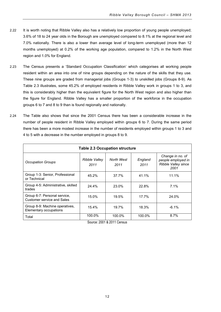- 2.22 It is worth noting that Ribble Valley also has a relatively low proportion of young people unemployed; 3.6% of 18 to 24 year olds in the Borough are unemployed compared to 8.1% at the regional level and 7.0% nationally. There is also a lower than average level of long-term unemployed (more than 12 months unemployed) at 0.2% of the working age population, compared to 1.2% in the North West region and 1.0% for England.
- 2.23 The Census presents a 'Standard Occupation Classification' which categorises all working people resident within an area into one of nine groups depending on the nature of the skills that they use. These nine groups are graded from managerial jobs (Groups 1-3) to unskilled jobs (Groups 8-9). As Table 2.3 illustrates, some 45.2% of employed residents in Ribble Valley work in groups 1 to 3, and this is considerably higher than the equivalent figure for the North West region and also higher than the figure for England. Ribble Valley has a smaller proportion of the workforce in the occupation groups 6 to 7 and 8 to 9 than is found regionally and nationally.
- 2.24 The Table also shows that since the 2001 Census there has been a considerable increase in the number of people resident in Ribble Valley employed within groups 6 to 7. During the same period there has been a more modest increase in the number of residents employed within groups 1 to 3 and 4 to 5 with a decrease in the number employed in groups 8 to 9.

| <b>Table 2.3 Occupation structure</b>                             |                       |                    |                 |                                                                       |
|-------------------------------------------------------------------|-----------------------|--------------------|-----------------|-----------------------------------------------------------------------|
| <b>Occupation Groups</b>                                          | Ribble Valley<br>2011 | North West<br>2011 | England<br>2011 | Change in no. of<br>people employed in<br>Ribble Valley since<br>2001 |
| Group 1-3: Senior, Professional<br>or Technical                   | 45.2%                 | 37.7%              | 41.1%           | 11.1%                                                                 |
| Group 4-5: Administrative, skilled<br>trades                      | 24.4%                 | 23.0%              | 22.8%           | 7.1%                                                                  |
| Group 6-7: Personal service,<br><b>Customer service and Sales</b> | 15.0%                 | 19.5%              | 17.7%           | 24.0%                                                                 |
| Group 8-9: Machine operatives,<br>Elementary occupations          | 15.4%                 | 19.7%              | 18.3%           | $-6.1%$                                                               |
| Total                                                             | 100.0%                | 100.0%             | 100.0%          | 8.7%                                                                  |

Source: 2001 & 2011 Census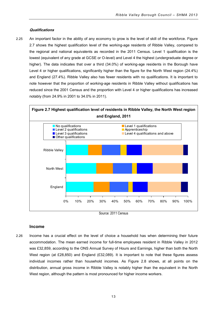#### **Qualifications**

2.25 An important factor in the ability of any economy to grow is the level of skill of the workforce. Figure 2.7 shows the highest qualification level of the working-age residents of Ribble Valley, compared to the regional and national equivalents as recorded in the 2011 Census. Level 1 qualification is the lowest (equivalent of any grade at GCSE or O-level) and Level 4 the highest (undergraduate degree or higher). The data indicates that over a third (34.0%) of working-age residents in the Borough have Level 4 or higher qualifications, significantly higher than the figure for the North West region (24.4%) and England (27.4%). Ribble Valley also has fewer residents with no qualifications. It is important to note however that the proportion of working-age residents in Ribble Valley without qualifications has reduced since the 2001 Census and the proportion with Level 4 or higher qualifications has increased notably (from 24.9% in 2001 to 34.0% in 2011).



Source: 2011 Census

#### **Income**

2.26 Income has a crucial effect on the level of choice a household has when determining their future accommodation. The mean earned income for full-time employees resident in Ribble Valley in 2012 was £32,859, according to the ONS Annual Survey of Hours and Earnings, higher than both the North West region (at £28,850) and England (£32,089). It is important to note that these figures assess individual incomes rather than household incomes. As Figure 2.8 shows, at all points on the distribution, annual gross income in Ribble Valley is notably higher than the equivalent in the North West region, although the pattern is most pronounced for higher income workers.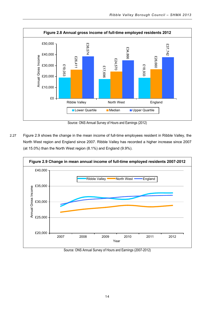

Source: ONS Annual Survey of Hours and Earnings (2012)

2.27 Figure 2.9 shows the change in the mean income of full-time employees resident in Ribble Valley, the North West region and England since 2007. Ribble Valley has recorded a higher increase since 2007 (at 15.0%) than the North West region (8.1%) and England (9.9%).



Source: ONS Annual Survey of Hours and Earnings (2007-2012)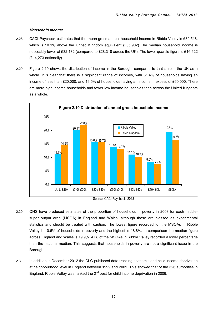#### **Household income**

- 2.28 CACI Paycheck estimates that the mean gross annual household income in Ribble Valley is £39,518, which is 10.1% above the United Kingdom equivalent (£35,902) The median household income is noticeably lower at £32,132 (compared to £28,318 across the UK). The lower quartile figure is £16,622 (£14,273 nationally).
- 2.29 Figure 2.10 shows the distribution of income in the Borough, compared to that across the UK as a whole. It is clear that there is a significant range of incomes, with 31.4% of households having an income of less than £20,000, and 19.5% of households having an income in excess of £60,000. There are more high income households and fewer low income households than across the United Kingdom as a whole.



- 2.30 ONS have produced estimates of the proportion of households in poverty in 2008 for each middlesuper output area (MSOA) in England and Wales, although these are classed as experimental statistics and should be treated with caution. The lowest figure recorded for the MSOAs in Ribble Valley is 10.6% of households in poverty and the highest is 18.8%. In comparison the median figure across England and Wales is 19.9%. All 8 of the MSOAs in Ribble Valley recorded a lower percentage than the national median. This suggests that households in poverty are not a significant issue in the Borough.
- <span id="page-18-0"></span>2.31 In addition in December 2012 the CLG published data tracking economic and child income deprivation at neighbourhood level in England between 1999 and 2009. This showed that of the 326 authorities in England, Ribble Valley was ranked the  $2^{nd}$  best for child income deprivation in 2009.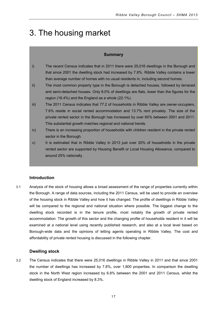# 3. The housing market

#### **Summary**

- i) The recent Census indicates that in 2011 there were 25,016 dwellings in the Borough and that since 2001 the dwelling stock had increased by 7.8%. Ribble Valley contains a lower than average number of homes with no usual residents in, including second homes.
- ii) The most common property type in the Borough is detached houses, followed by terraced and semi-detached houses. Only 8.0% of dwellings are flats, lower than the figures for the region (16.4%) and the England as a whole (22.1%).
- iii) The 2011 Census indicates that 77.2 of households in Ribble Valley are owner-occupiers, 7.6% reside in social rented accommodation and 13.7% rent privately. The size of the private rented sector in the Borough has increased by over 60% between 2001 and 2011. This substantial growth matches regional and national trends.
- iv) There is an increasing proportion of households with children resident in the private rented sector in the Borough.
- v) It is estimated that in Ribble Valley in 2013 just over 20% of households in the private rented sector are supported by Housing Benefit or Local Housing Allowance, compared to around 25% nationally .

#### **Introduction**

3.1 Analysis of the stock of housing allows a broad assessment of the range of properties currently within the Borough. A range of data sources, including the 2011 Census, will be used to provide an overview of the housing stock in Ribble Valley and how it has changed. The profile of dwellings in Ribble Valley will be compared to the regional and national situation where possible. The biggest change to the dwelling stock recorded is in the tenure profile, most notably the growth of private rented accommodation. The growth of this sector and the changing profile of households resident in it will be examined at a national level using recently published research, and also at a local level based on Borough-wide data and the opinions of letting agents operating in Ribble Valley. The cost and affordability of private rented housing is discussed in the following chapter.

#### **Dwelling stock**

3.2 The Census indicates that there were 25,016 dwellings in Ribble Valley in 2011 and that since 2001 the number of dwellings has increased by 7.8%, over 1,800 properties. In comparison the dwelling stock in the North West region increased by 6.8% between the 2001 and 2011 Census, whilst the dwelling stock of England increased by 8.3%.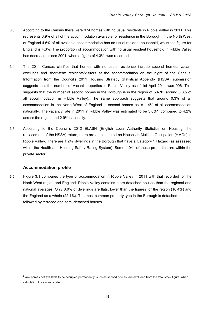- 3.3 According to the Census there were 974 homes with no usual residents in Ribble Valley in 2011. This represents 3.9% of all of the accommodation available for residence in the Borough. In the North West of England 4.5% of all available accommodation has no usual resident household, whilst the figure for England is 4.3%. The proportion of accommodation with no usual resident household in Ribble Valley has decreased since 2001, when a figure of 4.3% was recorded.
- 3.4 The 2011 Census clarifies that homes with no usual residence include second homes, vacant dwellings and short-term residents/visitors at the accommodation on the night of the Census. Information from the Council's 2011 Housing Strategy Statistical Appendix (HSSA) submission suggests that the number of vacant properties in Ribble Valley as of 1st April 2011 was 906. This suggests that the number of second homes in the Borough is in the region of 50-70 (around 0.3% of all accommodation in Ribble Valley). The same approach suggests that around 0.3% of all accommodation in the North West of England is second homes as is 1.4% of all accommodation nationally. The vacancy rate in [2](#page-21-0)011 in Ribble Valley was estimated to be 3.6%<sup>2</sup>, compared to 4.2% across the region and 2.9% nationally.
- 3.5 According to the Council's 2012 ELASH (English Local Authority Statistics on Housing, the replacement of the HSSA) return, there are an estimated no Houses in Multiple Occupation (HMOs) in Ribble Valley. There are 1,247 dwellings in the Borough that have a Category 1 Hazard (as assessed within the Health and Housing Safety Rating System). Some 1,041 of these properties are within the private sector.

#### **Accommodation profile**

-

3.6 Figure 3.1 compares the type of accommodation in Ribble Valley in 2011 with that recorded for the North West region and England. Ribble Valley contains more detached houses than the regional and national averages. Only 8.0% of dwellings are flats, lower than the figures for the region (16.4%) and the England as a whole (22.1%). The most common property type in the Borough is detached houses, followed by terraced and semi-detached houses.

<span id="page-21-0"></span> $<sup>2</sup>$  Any homes not available to be occupied permanently, such as second homes, are excluded from the total stock figure, when</sup> calculating the vacancy rate.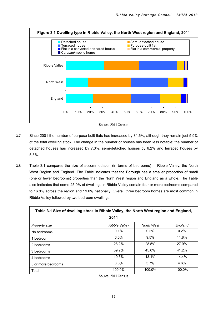

- 3.7 Since 2001 the number of purpose built flats has increased by 31.6%, although they remain just 5.9% of the total dwelling stock. The change in the number of houses has been less notable; the number of detached houses has increased by 7.3%, semi-detached houses by 6.2% and terraced houses by 5.3%.
	- 3.8 Table 3.1 compares the size of accommodation (in terms of bedrooms) in Ribble Valley, the North West Region and England. The Table indicates that the Borough has a smaller proportion of small (one or fewer bedrooms) properties than the North West region and England as a whole. The Table also indicates that some 25.9% of dwellings in Ribble Valley contain four or more bedrooms compared to 16.8% across the region and 19.0% nationally. Overall three bedroom homes are most common in Ribble Valley followed by two bedroom dwellings.

| Table 3.1 Size of dwelling stock in Ribble Valley, the North West region and England, |                      |            |         |
|---------------------------------------------------------------------------------------|----------------------|------------|---------|
| 2011                                                                                  |                      |            |         |
| Property size                                                                         | <b>Ribble Valley</b> | North West | England |
| No bedrooms                                                                           | 0.1%                 | $0.2\%$    | 0.2%    |
| 1 bedroom                                                                             | 6.6%                 | 9.5%       | 11.8%   |
| 2 bedrooms                                                                            | 28.2%                | 28.5%      | 27.9%   |
| 3 bedrooms                                                                            | 39.2%                | 45.0%      | 41.2%   |
| 4 bedrooms                                                                            | 19.3%                | 13.1%      | 14.4%   |
| 5 or more bedrooms                                                                    | 6.6%                 | 3.7%       | 4.6%    |
| Total                                                                                 | 100.0%<br>.          | 100.0%     | 100.0%  |

Source: 2011 Census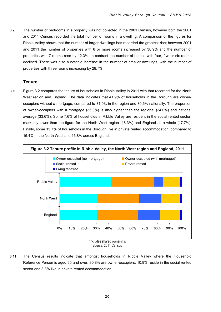3.9 The number of bedrooms in a property was not collected in the 2001 Census, however both the 2001 and 2011 Census recorded the total number of rooms in a dwelling. A comparison of the figures for Ribble Valley shows that the number of larger dwellings has recorded the greatest rise; between 2001 and 2011 the number of properties with 8 or more rooms increased by 30.9% and the number of properties with 7 rooms rose by 12.3%. In contrast the number of homes with four, five or six rooms declined. There was also a notable increase in the number of smaller dwellings, with the number of properties with three rooms increasing by 28.7%.

#### **Tenure**

3.10 Figure 3.2 compares the tenure of households in Ribble Valley in 2011 with that recorded for the North West region and England. The data indicates that 41.9% of households in the Borough are owneroccupiers without a mortgage, compared to 31.0% in the region and 30.6% nationally. The proportion of owner-occupiers with a mortgage (35.3%) is also higher than the regional (34.0%) and national average (33.6%). Some 7.6% of households in Ribble Valley are resident in the social rented sector, markedly lower than the figure for the North West region (18.3%) and England as a whole (17.7%). Finally, some 13.7% of households in the Borough live in private rented accommodation, compared to 15.4% in the North West and 16.8% across England.



Source: 2011 Census

3.11 The Census results indicate that amongst households in Ribble Valley where the Household Reference Person is aged 65 and over, 80.8% are owner-occupiers, 10.9% reside in the social rented sector and 8.3% live in private rented accommodation.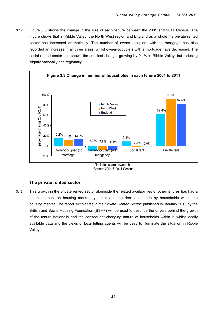3.12 Figure 3.3 shows the change in the size of each tenure between the 2001 and 2011 Census. The Figure shows that in Ribble Valley, the North West region and England as a whole the private rented sector has increased dramatically. The number of owner-occupiers with no mortgage has also recorded an increase in all three areas, whilst owner-occupiers with a mortgage have decreased. The social rented sector has shown the smallest change, growing by 9.1% in Ribble Valley, but reducing slightly nationally and regionally.



Source: 2001 & 2011 Census

#### **The private rented sector**

3.13 This growth in the private rented sector alongside the related availabilities of other tenures has had a notable impact on housing market dynamics and the decisions made by households within the housing market. The report *'Who Lives in the Private Rented Sector'* published in January 2013 by the British and Social Housing Foundation (BSHF) will be used to describe the drivers behind the growth of the tenure nationally and the consequent changing nature of households within it, whilst locally available data and the views of local letting agents will be used to illuminate the situation in Ribble Valley.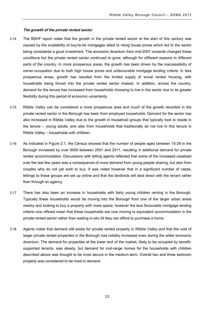#### **The growth of the private rented sector**

- 3.14 The BSHF report notes that the growth in the private rented sector at the start of this century was caused by the availability of buy-to-let mortgages allied to rising house prices which led to the sector being considered a good investment. The economic downturn from mid-2007 onwards changed these conditions but the private rented sector continued to grow, although for different reasons in different parts of the country. In more prosperous areas, the growth has been driven by the inaccessibility of owner-occupation due to both high house prices and unfavourable mortgage lending criteria. In less prosperous areas, growth has resulted from the limited supply of social rented housing, with households being forced into the private rented sector instead. In addition, across the country, demand for the tenure has increased from households choosing to live in the sector due to its greater flexibility during this period of economic uncertainty.
- 3.15 Ribble Valley can be considered a more prosperous area and much of the growth recorded in the private rented sector in the Borough has been from employed households. Demand for the sector has also increased in Ribble Valley due to the growth in household groups that typically look to reside in the tenure – young adults, and also from households that traditionally do not live in this tenure in Ribble Valley – households with children.
- 3.16 As indicated in Figure 2.1, the Census showed that the number of people aged between 15-29 in the Borough increased by over 6000 between 2001 and 2011, resulting in additional demand for private rented accommodation. Discussions with letting agents reflected that some of the increased caseload over the last few years was a consequence of more demand from young people sharing, but also from couples who do not yet wish to buy. It was noted however that in a significant number of cases, lettings to these groups are set up online and that the landlords will deal direct with the tenant rather than through an agency.
- 3.17 There has also been an increase in households with fairly young children renting in the Borough. Typically these households would be moving into the Borough from one of the larger urban areas nearby and looking to buy a property with more space, however the less favourable mortgage lending criteria now offered mean that these households are now moving to equivalent accommodation in the private rented sector rather than waiting in-situ till they can afford to purchase a home.
- 3.18 Agents noted that demand still exists for private rented property in Ribble Valley and that the cost of larger private rented properties in the Borough had notably increased even during the wider economic downturn. The demand for properties at the lower end of the market, likely to be occupied by benefitsupported tenants, was steady, but demand for mid-range homes for the households with children described above was thought to be most secure in the medium-term. Overall two and three bedroom property was considered to be most in demand.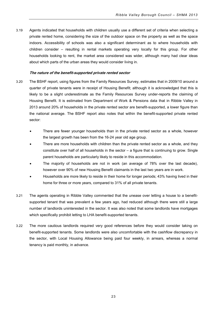3.19 Agents indicated that households with children usually use a different set of criteria when selecting a private rented home, considering the size of the outdoor space on the property as well as the space indoors. Accessibility of schools was also a significant determinant as to where households with children consider – resulting in rental markets operating very locally for this group. For other households looking to rent, the market area considered was wider, although many had clear ideas about which parts of the urban areas they would consider living in.

#### **The nature of the benefit-supported private rented sector**

- 3.20 The BSHF report, using figures from the Family Resources Survey, estimates that in 2009/10 around a quarter of private tenants were in receipt of Housing Benefit; although it is acknowledged that this is likely to be a slight underestimate as the Family Resources Survey under-reports the claiming of Housing Benefit. It is estimated from Department of Work & Pensions data that in Ribble Valley in 2013 around 20% of households in the private rented sector are benefit-supported, a lower figure than the national average. The BSHF report also notes that within the benefit-supported private rented sector:
	- There are fewer younger households than in the private rented sector as a whole, however the largest growth has been from the 16-24 year old age group.
	- There are more households with children than the private rented sector as a whole, and they constitute over half of all households in the sector – a figure that is continuing to grow. Single parent households are particularly likely to reside in this accommodation.
	- The majority of households are not in work (an average of 78% over the last decade), however over 90% of new Housing Benefit claimants in the last two years are in work.
	- Households are more likely to reside in their home for longer periods; 43% having lived in their home for three or more years, compared to 31% of all private tenants.
- 3.21 The agents operating in Ribble Valley commented that the unease over letting a house to a benefitsupported tenant that was prevalent a few years ago, had reduced although there were still a large number of landlords uninterested in the sector. It was also noted that some landlords have mortgages which specifically prohibit letting to LHA benefit-supported tenants.
- 3.22 The more cautious landlords required very good references before they would consider taking on benefit-supported tenants. Some landlords were also uncomfortable with the cashflow discrepancy in the sector, with Local Housing Allowance being paid four weekly, in arrears, whereas a normal tenancy is paid monthly, in advance.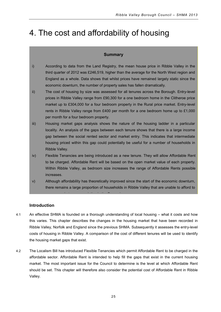## 4. The cost and affordability of housing

#### **Summary**

- i) According to data from the Land Registry, the mean house price in Ribble Valley in the third quarter of 2012 was £246,519, higher than the average for the North West region and England as a whole. Data shows that whilst prices have remained largely static since the economic downturn, the number of property sales has fallen dramatically.
- ii) The cost of housing by size was assessed for all tenures across the Borough. Entry-level prices in Ribble Valley range from £90,300 for a one bedroom home in the Clitheroe price market up to £304,000 for a four bedroom property in the Rural price market. Entry-level rents in Ribble Valley range from £400 per month for a one bedroom home up to £1,000 per month for a four bedroom property.
- iii) Housing market gaps analysis shows the nature of the housing ladder in a particular locality. An analysis of the gaps between each tenure shows that there is a large income gap between the social rented sector and market entry. This indicates that intermediate housing priced within this gap could potentially be useful for a number of households in Ribble Valley.
- iv) Flexible Tenancies are being introduced as a new tenure. They will allow Affordable Rent to be charged. Affordable Rent will be based on the open market value of each property. Within Ribble Valley, as bedroom size increases the range of Affordable Rents possible increases.
- v) Although affordability has theoretically improved since the start of the economic downturn, there remains a large proportion of households in Ribble Valley that are unable to afford to

#### **Introduction**

4.1 An effective SHMA is founded on a thorough understanding of local housing – what it costs and how this varies. This chapter describes the changes in the housing market that have been recorded in Ribble Valley, Norfolk and England since the previous SHMA. Subsequently it assesses the entry-level costs of housing in Ribble Valley. A comparison of the cost of different tenures will be used to identify the housing market gaps that exist.

k t d'an time de la time de time de la time de la time de la time de la time de la time de la time de la time<br>De la time

4.2 The Localism Bill has introduced Flexible Tenancies which permit Affordable Rent to be charged in the affordable sector. Affordable Rent is intended to help fill the gaps that exist in the current housing market. The most important issue for the Council to determine is the level at which Affordable Rent should be set. This chapter will therefore also consider the potential cost of Affordable Rent in Ribble Valley.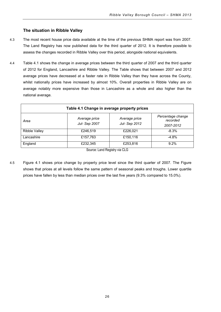#### **The situation in Ribble Valley**

- 4.3 The most recent house price data available at the time of the previous SHMA report was from 2007. The Land Registry has now published data for the third quarter of 2012. It is therefore possible to assess the changes recorded in Ribble Valley over this period, alongside national equivalents.
- 4.4 Table 4.1 shows the change in average prices between the third quarter of 2007 and the third quarter of 2012 for England, Lancashire and Ribble Valley. The Table shows that between 2007 and 2012 average prices have decreased at a faster rate in Ribble Valley than they have across the County, whilst nationally prices have increased by almost 10%. Overall properties in Ribble Valley are on average notably more expensive than those in Lancashire as a whole and also higher than the national average.

| Table 4.1 Change in average property prices |                                |                                |                                            |
|---------------------------------------------|--------------------------------|--------------------------------|--------------------------------------------|
| Area                                        | Average price<br>Jul- Sep 2007 | Average price<br>Jul- Sep 2012 | Percentage change<br>recorded<br>2007-2012 |
| <b>Ribble Valley</b>                        | £246.519                       | £226,021                       | $-8.3\%$                                   |
| Lancashire                                  | £157,763                       | £150,116                       | $-4.8%$                                    |
| England                                     | £232,345                       | £253,816                       | 9.2%                                       |

Source: Land Registry via CLG

4.5 Figure 4.1 shows price change by property price level since the third quarter of 2007. The Figure shows that prices at all levels follow the same pattern of seasonal peaks and troughs. Lower quartile prices have fallen by less than median prices over the last five years (9.3% compared to 15.0%).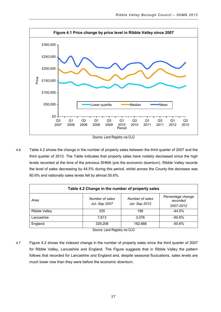

Source: Land Registry via CLG

4.6 Table 4.2 shows the change in the number of property sales between the third quarter of 2007 and the third quarter of 2012. The Table indicates that property sales have notably decreased since the high levels recorded at the time of the previous SHMA (pre the economic downturn). Ribble Valley records the level of sales decreasing by 44.5% during this period, whilst across the County the decrease was 60.6% and nationally sales levels fell by almost 50.6%.

| Table 4.2 Change in the number of property sales |                                  |                                  |                                            |
|--------------------------------------------------|----------------------------------|----------------------------------|--------------------------------------------|
| Area                                             | Number of sales<br>Jul- Sep 2007 | Number of sales<br>Jul- Sep 2012 | Percentage change<br>recorded<br>2007-2012 |
| <b>Ribble Valley</b>                             | 335                              | 186                              | $-44.5%$                                   |
| Lancashire                                       | 7.813                            | 3.076                            | $-60.6%$                                   |
| England                                          | 329,208                          | 162.688                          | $-50.6%$                                   |

Source: Land Registry via CLG

4.7 Figure 4.2 shows the indexed change in the number of property sales since the third quarter of 2007 for Ribble Valley, Lancashire and England. The Figure suggests that in Ribble Valley the pattern follows that recorded for Lancashire and England and, despite seasonal fluctuations, sales levels are much lower now than they were before the economic downturn.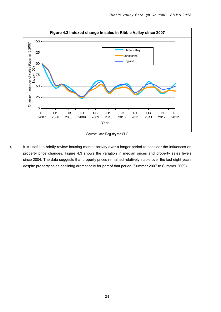

Source: Land Registry via CLG

4.8 It is useful to briefly review housing market activity over a longer period to consider the influences on property price changes. Figure 4.3 shows the variation in median prices and property sales levels since 2004. The data suggests that property prices remained relatively stable over the last eight years despite property sales declining dramatically for part of that period (Summer 2007 to Summer 2009).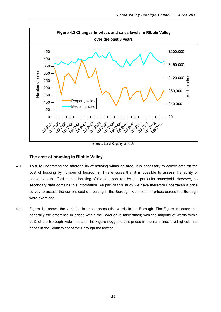

Source: Land Registry via CLG

#### **The cost of housing in Ribble Valley**

- 4.9 To fully understand the affordability of housing within an area, it is necessary to collect data on the cost of housing by number of bedrooms. This ensures that it is possible to assess the ability of households to afford market housing of the size required by that particular household. However, no secondary data contains this information. As part of this study we have therefore undertaken a price survey to assess the current cost of housing in the Borough. Variations in prices across the Borough were examined.
- 4.10 Figure 4.4 shows the variation in prices across the wards in the Borough. The Figure indicates that generally the difference in prices within the Borough is fairly small; with the majority of wards within 25% of the Borough-wide median. The Figure suggests that prices in the rural area are highest, and prices in the South West of the Borough the lowest.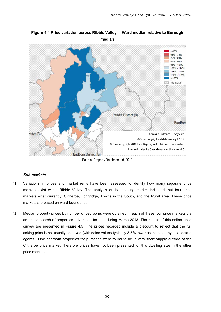

Source: Property Database Ltd, 2012

#### **Sub-markets**

- 4.11 Variations in prices and market rents have been assessed to identify how many separate price markets exist within Ribble Valley. The analysis of the housing market indicated that four price markets exist currently; Clitheroe, Longridge, Towns in the South, and the Rural area. These price markets are based on ward boundaries.
- 4.12 Median property prices by number of bedrooms were obtained in each of these four price markets via an online search of properties advertised for sale during March 2013. The results of this online price survey are presented in Figure 4.5. The prices recorded include a discount to reflect that the full asking price is not usually achieved (with sales values typically 3-5% lower as indicated by local estate agents). One bedroom properties for purchase were found to be in very short supply outside of the Clitheroe price market, therefore prices have not been presented for this dwelling size in the other price markets.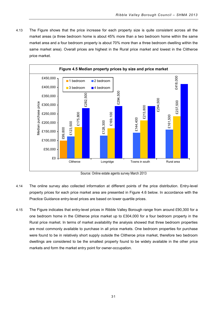4.13 The Figure shows that the price increase for each property size is quite consistent across all the market areas (a three bedroom home is about 45% more than a two bedroom home within the same market area and a four bedroom property is about 70% more than a three bedroom dwelling within the same market area). Overall prices are highest in the Rural price market and lowest in the Clitheroe price market.



Source: Online estate agents survey March 2013

- 4.14 The online survey also collected information at different points of the price distribution. Entry-level property prices for each price market area are presented in Figure 4.6 below. In accordance with the Practice Guidance entry-level prices are based on lower quartile prices.
- 4.15 The Figure indicates that entry-level prices in Ribble Valley Borough range from around £90,300 for a one bedroom home in the Clitheroe price market up to £304,000 for a four bedroom property in the Rural price market. In terms of market availability the analysis showed that three bedroom properties are most commonly available to purchase in all price markets. One bedroom properties for purchase were found to be in relatively short supply outside the Clitheroe price market, therefore two bedroom dwellings are considered to be the smallest property found to be widely available in the other price markets and form the market entry point for owner-occupation.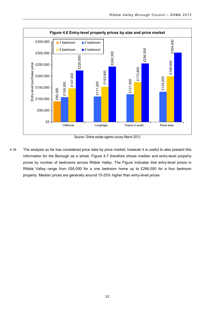

Source: Online estate agents survey March 2013

4.16 The analysis so far has considered price data by price market; however it is useful to also present this information for the Borough as a whole. Figure 4.7 therefore shows median and entry-level property prices by number of bedrooms across Ribble Valley. The Figure indicates that entry-level prices in Ribble Valley range from £95,000 for a one bedroom home up to £266,000 for a four bedroom property. Median prices are generally around 15-25% higher than entry-level prices.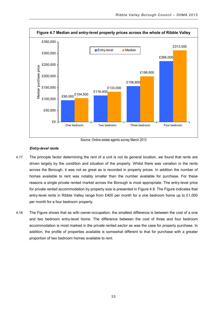

Source: Online estate agents survey March 2013

# **Entry-level rents**

- 4.17 The principle factor determining the rent of a unit is not its general location, we found that rents are driven largely by the condition and situation of the property. Whilst there was variation in the rents across the Borough, it was not as great as is recorded in property prices. In addition the number of homes available to rent was notably smaller than the number available for purchase. For these reasons a single private rented market across the Borough is most appropriate. The entry-level price for private rented accommodation by property size is presented in Figure 4.8. The Figure indicates that entry-level rents in Ribble Valley range from £400 per month for a one bedroom home up to £1,000 per month for a four bedroom property.
- 4.18 The Figure shows that as with owner-occupation, the smallest difference is between the cost of a one and two bedroom entry-level home. The difference between the cost of three and four bedroom accommodation is most marked in the private rented sector as was the case for property purchase. In addition, the profile of properties available is somewhat different to that for purchase with a greater proportion of two bedroom homes available to rent.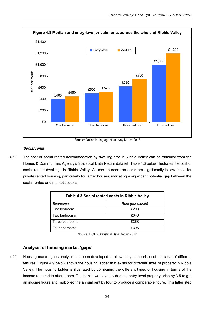

Source: Online letting agents survey March 2013

# **Social rents**

4.19 The cost of social rented accommodation by dwelling size in Ribble Valley can be obtained from the Homes & Communities Agency's Statistical Data Return dataset. Table 4.3 below illustrates the cost of social rented dwellings in Ribble Valley. As can be seen the costs are significantly below those for private rented housing, particularly for larger houses, indicating a significant potential gap between the social rented and market sectors.

| Table 4.3 Social rented costs in Ribble Valley |                  |  |
|------------------------------------------------|------------------|--|
| Bedrooms                                       | Rent (per month) |  |
| One bedroom                                    | £298             |  |
| Two bedrooms                                   | £346             |  |
| Three bedrooms                                 | £368             |  |
| Four bedrooms                                  | £396             |  |

Source: HCA's Statistical Data Return 2012

# **Analysis of housing market 'gaps'**

4.20 Housing market gaps analysis has been developed to allow easy comparison of the costs of different tenures. Figure 4.9 below shows the housing ladder that exists for different sizes of property in Ribble Valley. The housing ladder is illustrated by comparing the different types of housing in terms of the income required to afford them. To do this, we have divided the entry-level property price by 3.5 to get an income figure and multiplied the annual rent by four to produce a comparable figure. This latter step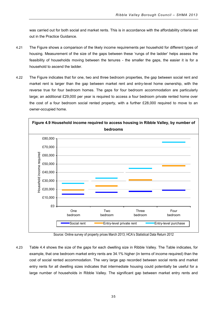was carried out for both social and market rents. This is in accordance with the affordability criteria set out in the Practice Guidance.

- 4.21 The Figure shows a comparison of the likely income requirements per household for different types of housing. Measurement of the size of the gaps between these 'rungs of the ladder' helps assess the feasibility of households moving between the tenures - the smaller the gaps, the easier it is for a household to ascend the ladder.
- 4.22 The Figure indicates that for one, two and three bedroom properties, the gap between social rent and market rent is larger than the gap between market rent and entry-level home ownership, with the reverse true for four bedroom homes. The gaps for four bedroom accommodation are particularly large; an additional £29,000 per year is required to access a four bedroom private rented home over the cost of a four bedroom social rented property, with a further £28,000 required to move to an owner-occupied home.



Source: Online survey of property prices March 2013; HCA's Statistical Data Return 2012

4.23 Table 4.4 shows the size of the gaps for each dwelling size in Ribble Valley. The Table indicates, for example, that one bedroom market entry rents are 34.1% higher (in terms of income required) than the cost of social rented accommodation. The very large gap recorded between social rents and market entry rents for all dwelling sizes indicates that intermediate housing could potentially be useful for a large number of households in Ribble Valley. The significant gap between market entry rents and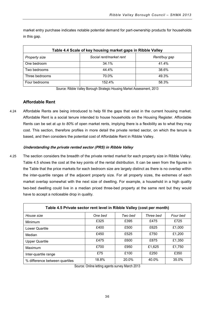market entry purchase indicates notable potential demand for part-ownership products for households in this gap.

| Table 4.4 Scale of key housing market gaps in Ribble Valley |                         |              |  |
|-------------------------------------------------------------|-------------------------|--------------|--|
| <b>Property size</b>                                        | Social rent/market rent | Rent/buy gap |  |
| One bedroom                                                 | 34.1%                   | 41.4%        |  |
| Two bedrooms                                                | 44.4%                   | 38.6%        |  |
| Three bedrooms                                              | 70.0%                   | 49.3%        |  |
| Four bedrooms                                               | 152.4%                  | 58.3%        |  |

Source: Ribble Valley Borough Strategic Housing Market Assessment, 2013

# **Affordable Rent**

4.24 Affordable Rents are being introduced to help fill the gaps that exist in the current housing market. Affordable Rent is a social tenure intended to house households on the Housing Register. Affordable Rents can be set at *up to 80%* of open market rents, implying there is a flexibility as to what they may cost. This section, therefore profiles in more detail the private rented sector, on which the tenure is based, and then considers the potential cost of Affordable Rent in Ribble Valley.

# **Understanding the private rented sector (PRS) in Ribble Valley**

4.25 The section considers the breadth of the private rented market for each property size in Ribble Valley. Table 4.5 shows the cost at the key points of the rental distribution. It can be seen from the figures in the Table that the price markets for each bedroom size are largely distinct as there is no overlap within the inter-quartile ranges of the adjacent property size. For all property sizes, the extremes of each market overlap somewhat with the next size of dwelling. For example, a household in a high quality two-bed dwelling could live in a median priced three-bed property at the same rent but they would have to accept a noticeable drop in quality.

| Table 4.5 Private sector rent level in Ribble Valley (cost per month) |         |         |           |          |
|-----------------------------------------------------------------------|---------|---------|-----------|----------|
| House size                                                            | One bed | Two bed | Three bed | Four bed |
| Minimum                                                               | £325    | £395    | £475      | £725     |
| Lower Quartile                                                        | £400    | £500    | £625      | £1,000   |
| Median                                                                | £450    | £525    | £750      | £1,200   |
| <b>Upper Quartile</b>                                                 | £475    | £600    | £875      | £1,350   |
| Maximum                                                               | £700    | £950    | £1.625    | £1.750   |
| Inter-quartile range                                                  | £75     | £100    | £250      | £350     |
| % difference between quartiles                                        | 18.8%   | 20.0%   | 40.0%     | 35.0%    |

Source: Online letting agents survey March 2013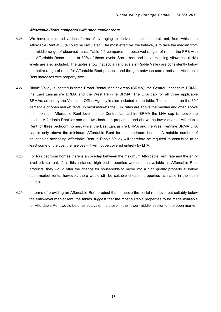#### **Affordable Rents compared with open market rents**

- 4.26 We have considered various forms of averaging to derive a median market rent, from which the Affordable Rent at 80% could be calculated. The most effective, we believe, is to take the median from the middle range of observed rents. Table 4.6 compares the observed ranges of rent in the PRS with the Affordable Rents based at 80% of these levels. Social rent and Local Housing Allowance (LHA) levels are also included. The tables show that social rent levels in Ribble Valley are consistently below the entire range of rates for Affordable Rent products and the gap between social rent and Affordable Rent increases with property size.
- 4.27 Ribble Valley is located in three Broad Rental Market Areas (BRMA); the Central Lancashire BRMA, the East Lancashire BRMA and the West Pennine BRMA. The LHA cap for all three applicable BRMAs, as set by the Valuation Office Agency is also included in the table. This is based on the  $30<sup>th</sup>$ percentile of open market rents. In most markets the LHA rates are above the median and often above the maximum Affordable Rent level. In the Central Lancashire BRMA the LHA cap is above the median Affordable Rent for one and two bedroom properties and above the lower quartile Affordable Rent for three bedroom homes, whilst the East Lancashire BRMA and the West Pennine BRMA LHA cap is only above the minimum Affordable Rent for one bedroom homes. A notable number of households accessing Affordable Rent in Ribble Valley will therefore be required to contribute to at least some of the cost themselves – it will not be covered entirely by LHA.
- 4.28 For four bedroom homes there is an overlap between the maximum Affordable Rent rate and the entry level private rent. If, in this instance, high end properties were made available as Affordable Rent products, they would offer the chance for households to move into a high quality property at below open-market rents; however, there would still be suitable cheaper properties available in the open market.
- 4.29 In terms of providing an Affordable Rent product that is above the social rent level but suitably below the entry-level market rent, the tables suggest that the most suitable properties to be made available for Affordable Rent would be ones equivalent to those in the 'lower-middle' section of the open market.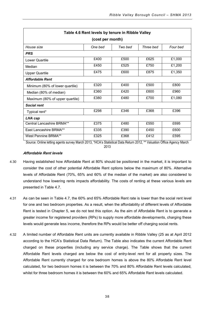| Table 4.6 Rent levels by tenure in Ribble Valley |                  |         |           |          |  |
|--------------------------------------------------|------------------|---------|-----------|----------|--|
|                                                  | (cost per month) |         |           |          |  |
| House size                                       | One bed          | Two bed | Three bed | Four bed |  |
| <b>PRS</b>                                       |                  |         |           |          |  |
| Lower Quartile                                   | £400             | £500    | £625      | £1,000   |  |
| Median                                           | £450             | £525    | £750      | £1,200   |  |
| <b>Upper Quartile</b>                            | £475             | £600    | £875      | £1,350   |  |
| <b>Affordable Rent</b>                           |                  |         |           |          |  |
| Minimum (80% of lower quartile)                  | £320             | £400    | £500      | £800     |  |
| Median (80% of median)                           | £360             | £420    | £600      | £960     |  |
| Maximum (80% of upper quartile)                  | £380             | £480    | £700      | £1,080   |  |
| <b>Social rent</b>                               |                  |         |           |          |  |
| Typical rent*                                    | £298             | £346    | £368      | £396     |  |
| LHA cap                                          |                  |         |           |          |  |
| Central Lancashire BRMA**                        | £375             | £480    | £550      | £695     |  |
| <b>Fast Lancashire BRMA**</b>                    | £335             | £390    | £450      | £600     |  |
| <b>West Pennine BRMA**</b>                       | £325             | £368    | £412      | £595     |  |

Source: Online letting agents survey March 2013, \*HCA's Statistical Data Return 2012, \*\* Valuation Office Agency March

2013

# **Affordable Rent levels**

- 4.30 Having established how Affordable Rent at 80% should be positioned in the market, it is important to consider the cost of other potential Affordable Rent options below the maximum of 80%. Alternative levels of Affordable Rent (70%, 65% and 60% of the median of the market) are also considered to understand how lowering rents impacts affordability. The costs of renting at these various levels are presented in Table 4.7.
- 4.31 As can be seen in Table 4.7, the 60% and 65% Affordable Rent rate is lower than the social rent level for one and two bedroom properties. As a result, when the affordability of different levels of Affordable Rent is tested in Chapter 5, we do not test this option. As the aim of Affordable Rent is to generate a greater income for registered providers (RPs) to supply more affordable developments, charging these levels would generate less income, therefore the RPs would be better off charging social rents.
- 4.32 A limited number of Affordable Rent units are currently available in Ribble Valley (25 as at April 2012 according to the HCA's Statistical Data Return). The Table also indicates the current Affordable Rent charged on these properties (including any service charge). The Table shows that the current Affordable Rent levels charged are below the cost of entry-level rent for all property sizes. The Affordable Rent currently charged for one bedroom homes is above the 80% Affordable Rent level calculated, for two bedroom homes it is between the 70% and 80% Affordable Rent levels calculated, whilst for three bedroom homes it is between the 60% and 65% Affordable Rent levels calculated.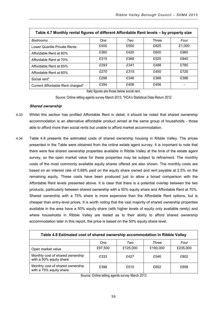| Table 4.7 Monthly rental figures of different Affordable Rent levels – by property size |      |      |       |        |
|-----------------------------------------------------------------------------------------|------|------|-------|--------|
| Bedrooms                                                                                | One  | Two  | Three | Four   |
| Lower Quartile Private Rents                                                            | £400 | £500 | £625  | £1.000 |
| Affordable Rent at 80%                                                                  | £360 | £420 | £600  | £960   |
| Affordable Rent at 70%                                                                  | £315 | £368 | £525  | £840   |
| Affordable Rent at 65%                                                                  | £293 | £341 | £488  | £780   |
| Affordable Rent at 60%                                                                  | £270 | £315 | £450  | £720   |
| Social rent*                                                                            | £298 | £346 | £368  | £396   |
| Current Affordable Rent charged*                                                        | £394 | £406 | £456  |        |

Italic figures are those below social rent.

Source: Online letting agents survey March 2013, \*HCA's Statistical Data Return 2012

#### **Shared ownership**

- 4.33 Whilst this section has profiled Affordable Rent in detail, it should be noted that shared ownership accommodation is an alternative affordable product aimed at the same group of households - those able to afford more than social rents but unable to afford market accommodation.
- 4.34 Table 4.8 presents the estimated costs of shared ownership housing in Ribble Valley. The prices presented in the Table were obtained from the online estate agent survey. It is important to note that there were few shared ownership properties available in Ribble Valley at the time of the estate agent survey, so the open market value for these properties may be subject to refinement. The monthly costs of the most commonly available equity shares offered are also shown. The monthly costs are based on an interest rate of 5.69% paid on the equity share owned and rent payable at 2.5% on the remaining equity. These costs have been produced just to allow a broad comparison with the Affordable Rent levels presented above. It is clear that there is a potential overlap between the two products, particularly between shared ownership with a 50% equity share and Affordable Rent at 70%. Shared ownership with a 75% share is more expensive than the Affordable Rent options, but is cheaper than entry-level prices. It is worth noting that the vast majority of shared ownership properties available in the area have a 50% equity share (with higher levels of equity only available rarely) and where households in Ribble Valley are tested as to their ability to afford shared ownership accommodation later in this report, the price is based on the 50% equity share level.

| Table 4.8 Estimated cost of shared ownership accommodation in Ribble Valley                 |         |          |          |          |  |
|---------------------------------------------------------------------------------------------|---------|----------|----------|----------|--|
| One<br>Two<br>Three<br>Four                                                                 |         |          |          |          |  |
| Open market value                                                                           | £97,500 | £125,000 | £160,000 | £235,000 |  |
| Monthly cost of shared ownership<br>with a 50% equity share                                 | £333    | £427     | £546     | £802     |  |
| Monthly cost of shared ownership<br>£398<br>£510<br>£652<br>£958<br>with a 75% equity share |         |          |          |          |  |

Source: Online letting agents survey March 2013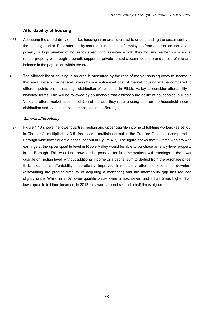# **Affordability of housing**

- 4.35 Assessing the affordability of market housing in an area is crucial to understanding the sustainability of the housing market. Poor affordability can result in the loss of employees from an area, an increase in poverty, a high number of households requiring assistance with their housing (either via a social rented property or through a benefit-supported private rented accommodation) and a loss of mix and balance in the population within the area.
- 4.36 The affordability of housing in an area is measured by the ratio of market housing costs to income in that area. Initially the general Borough-wide entry-level cost of market housing will be compared to different points on the earnings distribution of residents in Ribble Valley to consider affordability in historical terms. This will be followed by an analysis that assesses the ability of households in Ribble Valley to afford market accommodation of the size they require using data on the household income distribution and the household composition in the Borough.

#### **General affordability**

4.37 Figure 4.10 shows the lower quartile, median and upper quartile income of full-time workers (as set out in Chapter 2) multiplied by 3.5 (the income multiple set out in the Practice Guidance) compared to Borough-wide lower quartile prices (set out in Figure 4.7). The figure shows that full-time workers with earnings at the upper-quartile level in Ribble Valley would be able to purchase an entry-level property in the Borough. This would not however be possible for full-time workers with earnings at the lower quartile or median level, without additional income or a capital sum to deduct from the purchase price. It is clear that affordability theoretically improved immediately after the economic downturn (discounting the greater difficulty of acquiring a mortgage) and the affordability gap has reduced slightly since. Whilst in 2007 lower quartile prices were almost seven and a half times higher than lower quartile full-time incomes, in 2012 they were around six and a half times higher.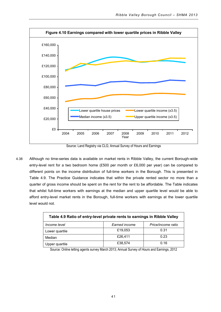

Source: Land Registry via CLG; Annual Survey of Hours and Earnings

4.38 Although no time-series data is available on market rents in Ribble Valley, the current Borough-wide entry-level rent for a two bedroom home (£500 per month or £6,000 per year) can be compared to different points on the income distribution of full-time workers in the Borough. This is presented in Table 4.9. The Practice Guidance indicates that within the private rented sector no more than a quarter of gross income should be spent on the rent for the rent to be affordable. The Table indicates that whilst full-time workers with earnings at the median and upper quartile level would be able to afford entry-level market rents in the Borough, full-time workers with earnings at the lower quartile level would not.

| Table 4.9 Ratio of entry-level private rents to earnings in Ribble Valley |               |                    |  |
|---------------------------------------------------------------------------|---------------|--------------------|--|
| Income level                                                              | Earned income | Price/income ratio |  |
| Lower quartile                                                            | £19,053       | 0.31               |  |
| Median                                                                    | £26,411       | 0.23               |  |
| Upper quartile                                                            | £38,574       | 0.16               |  |

Source: Online letting agents survey March 2013; Annual Survey of Hours and Earnings, 2012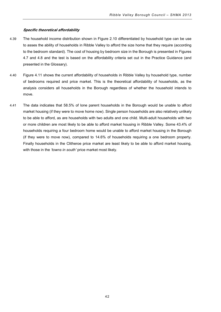#### **Specific theoretical affordability**

- 4.39 The household income distribution shown in Figure 2.10 differentiated by household type can be use to asses the ability of households in Ribble Valley to afford the size home that they require (according to the bedroom standard). The cost of housing by bedroom size in the Borough is presented in Figures 4.7 and 4.8 and the test is based on the affordability criteria set out in the Practice Guidance (and presented in the Glossary).
- 4.40 Figure 4.11 shows the current affordability of households in Ribble Valley by household type, number of bedrooms required and price market. This is the theoretical affordability of households, as the analysis considers all households in the Borough regardless of whether the household intends to move.
- 4.41 The data indicates that 58.5% of lone parent households in the Borough would be unable to afford market housing (if they were to move home now). Single person households are also relatively unlikely to be able to afford, as are households with two adults and one child. Multi-adult households with two or more children are most likely to be able to afford market housing in Ribble Valley. Some 43.4% of households requiring a four bedroom home would be unable to afford market housing in the Borough (if they were to move now), compared to 14.6% of households requiring a one bedroom property. Finally households in the Clitheroe price market are least likely to be able to afford market housing, with those in the *'towns in south'* price market most likely.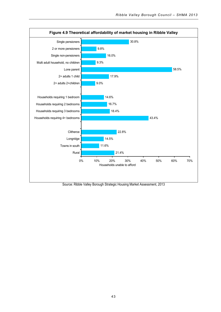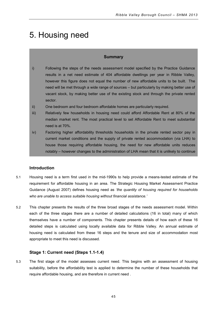# 5. Housing need

# **Summary**

- i) Following the steps of the needs assessment model specified by the Practice Guidance results in a net need estimate of 404 affordable dwellings per year in Ribble Valley, however this figure does not equal the number of new affordable units to be built. The need will be met through a wide range of sources – but particularly by making better use of vacant stock, by making better use of the existing stock and through the private rented sector.
- ii) One bedroom and four bedroom affordable homes are particularly required.
- iii) Relatively few households in housing need could afford Affordable Rent at 80% of the median market rent. The most practical level to set Affordable Rent to meet substantial need is at 70%.
- iv) Factoring higher affordability thresholds households in the private rented sector pay in current market conditions and the supply of private rented accommodation (via LHA) to house those requiring affordable housing, the need for new affordable units reduces notably – however changes to the administration of LHA mean that it is unlikely to continue

# **Introduction**

- 5.1 Housing need is a term first used in the mid-1990s to help provide a means-tested estimate of the requirement for affordable housing in an area. The Strategic Housing Market Assessment Practice Guidance (August 2007) defines housing need as *'the quantity of housing required for households who are unable to access suitable housing without financial assistance.'*
- 5.2 This chapter presents the results of the three broad stages of the needs assessment model. Within each of the three stages there are a number of detailed calculations (16 in total) many of which themselves have a number of components. This chapter presents details of how each of these 16 detailed steps is calculated using locally available data for Ribble Valley. An annual estimate of housing need is calculated from these 16 steps and the tenure and size of accommodation most appropriate to meet this need is discussed.

# **Stage 1: Current need (Steps 1.1-1.4)**

5.3 The first stage of the model assesses current need. This begins with an assessment of housing suitability, before the affordability test is applied to determine the number of these households that require affordable housing, and are therefore in current need .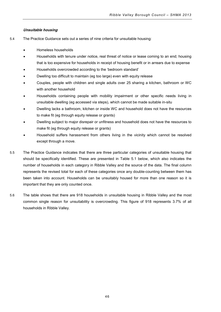# **Unsuitable housing**

- 5.4 The Practice Guidance sets out a series of nine criteria for unsuitable housing:
	- Homeless households
	- Households with tenure under notice, real threat of notice or lease coming to an end; housing that is too expensive for households in receipt of housing benefit or in arrears due to expense
	- Households overcrowded according to the 'bedroom standard'
	- Dwelling too difficult to maintain (eg too large) even with equity release
	- Couples, people with children and single adults over 25 sharing a kitchen, bathroom or WC with another household
	- Households containing people with mobility impairment or other specific needs living in unsuitable dwelling (eg accessed via steps), which cannot be made suitable in-situ
	- Dwelling lacks a bathroom, kitchen or inside WC and household does not have the resources to make fit (eg through equity release or grants)
	- Dwelling subject to major disrepair or unfitness and household does not have the resources to make fit (eg through equity release or grants)
	- Household suffers harassment from others living in the vicinity which cannot be resolved except through a move.
- 5.5 The Practice Guidance indicates that there are three particular categories of unsuitable housing that should be specifically identified. These are presented in Table 5.1 below, which also indicates the number of households in each category in Ribble Valley and the source of the data. The final column represents the revised total for each of these categories once any double-counting between them has been taken into account. Households can be unsuitably housed for more than one reason so it is important that they are only counted once.
- 5.6 The table shows that there are 918 households in unsuitable housing in Ribble Valley and the most common single reason for unsuitability is overcrowding. This figure of 918 represents 3.7% of all households in Ribble Valley.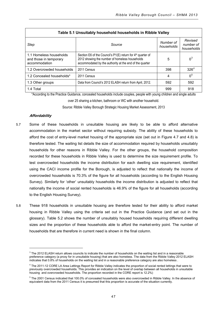| Table 5.1 Unsuitably household households in Ribble Valley         |                                                                                                                                                                                      |                         |                                    |
|--------------------------------------------------------------------|--------------------------------------------------------------------------------------------------------------------------------------------------------------------------------------|-------------------------|------------------------------------|
| Step                                                               | Source                                                                                                                                                                               | Number of<br>households | Revised<br>number of<br>households |
| 1.1 Homeless households<br>and those in temporary<br>accommodation | Section E6 of the Council's P1(E) return for 4 <sup>th</sup> quarter of<br>2012 showing the number of homeless households<br>accommodated by the authority at the end of the quarter | 5                       | $0^3$                              |
| 1.2 Overcrowded households                                         | 2011 Census                                                                                                                                                                          | 398                     | 326 <sup>4</sup>                   |
| 1.2 Concealed households*                                          | 2011 Census                                                                                                                                                                          | 4                       | 0 <sup>5</sup>                     |
| 1.3 Other groups                                                   | Data from Council's 2012 ELASH return from April, 2012.                                                                                                                              | 592                     | 592                                |
| 1.4 Total                                                          |                                                                                                                                                                                      | 999                     | 918                                |

\*According to the Practice Guidance, concealed households include couples, people with young children and single adults

over 25 sharing a kitchen, bathroom or WC with another household.

Source: Ribble Valley Borough Strategic Housing Market Assessment, 2013

#### **Affordability**

j

- 5.7 Some of these households in unsuitable housing are likely to be able to afford alternative accommodation in the market sector without requiring subsidy. The ability of these households to afford the cost of entry-level market housing of the appropriate size (set out in Figure 4.7 and 4.8) is therefore tested. The waiting list details the size of accommodation required by households unsuitably households for other reasons in Ribble Valley. For the other groups, the household composition recorded for these households in Ribble Valley is used to determine the size requirement profile. To test overcrowded households the income distribution for each dwelling size requirement, identified using the CACI income profile for the Borough, is adjusted to reflect that nationally the income of overcrowded households is 70.3% of the figure for all households (according to the English Housing Survey). Similarly for 'other' unsuitably households the income distribution is adjusted to reflect that nationally the income of social rented households is 46.9% of the figure for all households (according to the English Housing Survey).
- 5.8 These 918 households in unsuitable housing are therefore tested for their ability to afford market housing in Ribble Valley using the criteria set out in the Practice Guidance (and set out in the glossary). Table 5.2 shows the number of unsuitably housed households requiring different dwelling sizes and the proportion of these households able to afford the market-entry point. The number of households that are therefore in current need is shown in the final column.

<span id="page-50-0"></span> $3$  The 2012 ELASH return allows councils to indicate the number of households on the waiting list and in a reasonable preference category (a proxy for in unsuitable housing) that are also homeless. The data from the Ribble Valley 2012 ELASH indicates that 0.8% of households on the waiting list and in a reasonable preference category are also homeless .

<span id="page-50-1"></span><sup>&</sup>lt;sup>4</sup> The 2011-12 CORE LA Area Lettings Report for Ribble Valley indicates the proportion of social rented lettings that were to previously overcrowded households. This provides an indication on the level of overlap between all households in unsuitable housing and overcrowded households. The proportion recorded in the CORE report is 12.2%)

<span id="page-50-2"></span><sup>&</sup>lt;sup>5</sup> The 2001 Census indicated that 100.0% of concealed households were also overcrowded in Ribble Valley. In the absence of equivalent data from the 2011 Census it is presumed that this proportion is accurate of the situation currently.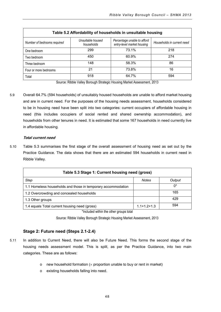| Table 5.2 Affordability of households in unsuitable housing |                                 |                                                           |                            |  |
|-------------------------------------------------------------|---------------------------------|-----------------------------------------------------------|----------------------------|--|
| Number of bedrooms required                                 | Unsuitable housed<br>households | Percentage unable to afford<br>entry-level market housing | Households in current need |  |
| One bedroom                                                 | 299                             | 73.1%                                                     | 218                        |  |
| Two bedroom                                                 | 450                             | 60.9%                                                     | 274                        |  |
| Three bedroom                                               | 148                             | 58.3%                                                     | 86                         |  |
| Four or more bedrooms                                       | 21                              | 73.8%                                                     | 16                         |  |
| Total                                                       | 918                             | 64.7%                                                     | 594                        |  |

Source: Ribble Valley Borough Strategic Housing Market Assessment, 2013

5.9 Overall 64.7% (594 households) of unsuitably housed households are unable to afford market housing and are in current need. For the purposes of the housing needs assessment, households considered to be in housing need have been split into two categories: current occupiers of affordable housing in need (this includes occupiers of social rented and shared ownership accommodation), and households from other tenures in need. It is estimated that some 167 households in need currently live in affordable housing.

# **Total current need**

5.10 Table 5.3 summarises the first stage of the overall assessment of housing need as set out by the Practice Guidance. The data shows that there are an estimated 594 households in current need in Ribble Valley.

| Table 5.3 Stage 1: Current housing need (gross)              |                   |        |  |
|--------------------------------------------------------------|-------------------|--------|--|
| Step                                                         | <b>Notes</b>      | Output |  |
| 1.1 Homeless households and those in temporary accommodation |                   | $0^*$  |  |
| 1.2 Overcrowding and concealed households                    |                   | 165    |  |
| 1.3 Other groups                                             |                   | 429    |  |
| 1.4 equals Total current housing need (gross)                | $1.1 + 1.2 + 1.3$ | 594    |  |

\*Included within the other groups total

Source: Ribble Valley Borough Strategic Housing Market Assessment, 2013

# **Stage 2: Future need (Steps 2.1-2.4)**

- 5.11 In addition to Current Need, there will also be Future Need. This forms the second stage of the housing needs assessment model. This is split, as per the Practice Guidance, into two main categories. These are as follows:
	- $\circ$  new household formation ( $\times$  proportion unable to buy or rent in market)
	- o existing households falling into need.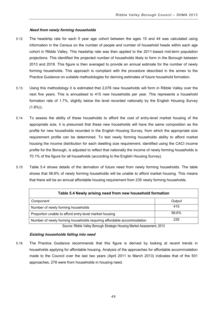# **Need from newly forming households**

- 5.12 The headship rate for each 5 year age cohort between the ages 15 and 44 was calculated using information in the Census on the number of people and number of household heads within each age cohort in Ribble Valley. This headship rate was then applied to the 2011-based mid-term population projections. This identified the projected number of households likely to form in the Borough between 2013 and 2018. This figure is then averaged to provide an annual estimate for the number of newly forming households. This approach is compliant with the procedure described in the annex to the Practice Guidance on suitable methodologies for deriving estimates of future household formation.
- 5.13 Using this methodology it is estimated that 2,076 new households will form in Ribble Valley over the next five years. This is annualised to 415 new households per year. This represents a household formation rate of 1.7%, slightly below the level recorded nationally by the English Housing Survey  $(1.8\%)$ ).
- 5.14 To assess the ability of these households to afford the cost of entry-level market housing of the appropriate size, it is presumed that these new households will have the same composition as the profile for new households recorded in the English Housing Survey, from which the appropriate size requirement profile can be determined. To test newly forming households ability to afford market housing the income distribution for each dwelling size requirement, identified using the CACI income profile for the Borough, is adjusted to reflect that nationally the income of newly forming households is 70.1% of the figure for all households (according to the English Housing Survey).
- 5.15 Table 5.4 shows details of the derivation of future need from newly forming households. The table shows that 56.6% of newly forming households will be unable to afford market housing. This means that there will be an annual affordable housing requirement from 235 newly forming households.

| Table 5.4 Newly arising need from new household formation             |        |  |
|-----------------------------------------------------------------------|--------|--|
| Component                                                             | Output |  |
| Number of newly forming households                                    | 415    |  |
| Proportion unable to afford entry-level market housing                | 56.6%  |  |
| Number of newly forming households requiring affordable accommodation | 235    |  |

Source: Ribble Valley Borough Strategic Housing Market Assessment, 2013

# **Existing households falling into need**

5.16 The Practice Guidance recommends that this figure is derived by looking at recent trends in households applying for affordable housing. Analysis of the approaches for affordable accommodation made to the Council over the last two years (April 2011 to March 2013) indicates that of the 501 approaches, 278 were from households in housing need.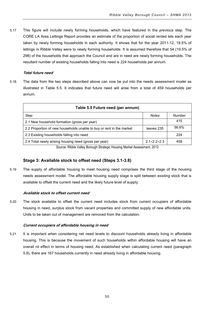5.17 This figure will include newly forming households, which have featured in the previous step. The CORE LA Area Lettings Report provides an estimate of the proportion of social rented lets each year taken by newly forming households in each authority. It shows that for the year 2011-12, 19.5% of lettings in Ribble Valley were to newly forming households. It is assumed therefore that 54 (19.5% of 298) of the households that approach the Council and are in need are newly forming households. The resultant number of existing households falling into need is 224 households per annum.

# **Total future need**

5.18 The data from the two steps described above can now be put into the needs assessment model as illustrated in Table 5.5. It indicates that future need will arise from a total of 459 households per annum.

| Table 5.5 Future need (per annum)                                           |                        |        |
|-----------------------------------------------------------------------------|------------------------|--------|
| Step                                                                        | <b>Notes</b>           | Number |
| 2.1 New household formation (gross per year)                                |                        | 415    |
| 2.2 Proportion of new households unable to buy or rent in the market        | leaves 235             | 56.6%  |
| 2.3 Existing households falling into need                                   |                        | 224    |
| 2.4 Total newly arising housing need (gross per year)                       | $2.1 \times 2.2 + 2.3$ | 459    |
| Course: Dikkle Valley Descurit Christiania Hermina Market Accessories 19049 |                        |        |

Source: Ribble Valley Borough Strategic Housing Market Assessment, 2013

# **Stage 3: Available stock to offset need (Steps 3.1-3.8)**

5.19 The supply of affordable housing to meet housing need comprises the third stage of the housing needs assessment model. The affordable housing supply stage is split between existing stock that is available to offset the current need and the likely future level of supply.

# **Available stock to offset current need**

5.20 The stock available to offset the current need includes stock from current occupiers of affordable housing in need, surplus stock from vacant properties and committed supply of new affordable units. Units to be taken out of management are removed from the calculation.

# **Current occupiers of affordable housing in need**

5.21 It is important when considering net need levels to discount households already living in affordable housing. This is because the movement of such households within affordable housing will have an overall nil effect in terms of housing need. As established when calculating current need (paragraph 5.9), there are 167 households currently in need already living in affordable housing.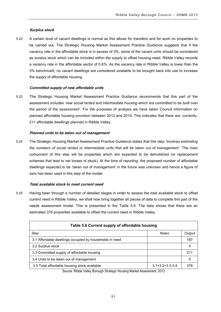# **Surplus stock**

5.22 A certain level of vacant dwellings is normal as this allows for transfers and for work on properties to be carried out. The Strategic Housing Market Assessment Practice Guidance suggests that if the vacancy rate in the affordable stock is in excess of 3%, some of the vacant units should be considered as surplus stock which can be included within the supply to offset housing need. Ribble Valley records a vacancy rate in the affordable sector of 0.6%. As the vacancy rate in Ribble Valley is lower than the 3% benchmark, no vacant dwellings are considered available to be brought back into use to increase the supply of affordable housing.

# **Committed supply of new affordable units**

5.23 The Strategic Housing Market Assessment Practice Guidance recommends that this part of the assessment includes *'new social rented and intermediate housing which are committed to be built over the period of the assessment'*. For the purposes of analysis we have taken Council information on planned affordable housing provision between 2012 and 2014. This indicates that there are, currently, 211 affordable dwellings planned in Ribble Valley.

# **Planned units to be taken out of management**

5.24 The Strategic Housing Market Assessment Practice Guidance states that this step *'involves estimating the numbers of social rented or intermediate units that will be taken out of management'*. The main component of this step will be properties which are expected to be demolished (or replacement schemes that lead to net losses of stock). At the time of reporting, the proposed number of affordable dwellings expected to be 'taken out of management' in the future was unknown and hence a figure of zero has been used in this step of the model.

# **Total available stock to meet current need**

5.25 Having been through a number of detailed stages in order to assess the total available stock to offset current need in Ribble Valley, we shall now bring together all pieces of data to complete this part of the needs assessment model. This is presented in the Table 5.6. The data shows that there are an estimated 378 properties available to offset the current need in Ribble Valley.

| Table 5.6 Current supply of affordable housing          |                         |        |  |  |
|---------------------------------------------------------|-------------------------|--------|--|--|
| Step                                                    | <b>Notes</b>            | Output |  |  |
| 3.1 Affordable dwellings occupied by households in need |                         | 167    |  |  |
| 3.2 Surplus stock                                       |                         |        |  |  |
| 3.3 Committed supply of affordable housing              |                         | 211    |  |  |
| 3.4 Units to be taken out of management                 |                         |        |  |  |
| 3.5 Total affordable housing stock available            | $3.1 + 3.2 + 3.3 - 3.4$ | 378    |  |  |

Source: Ribble Valley Borough Strategic Housing Market Assessment, 2013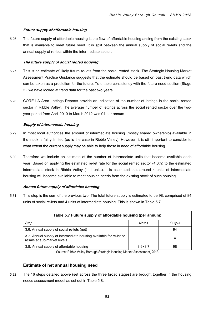# **Future supply of affordable housing**

5.26 The future supply of affordable housing is the flow of affordable housing arising from the existing stock that is available to meet future need. It is split between the annual supply of social re-lets and the annual supply of re-lets within the intermediate sector.

# **The future supply of social rented housing**

- 5.27 This is an estimate of likely future re-lets from the social rented stock. The Strategic Housing Market Assessment Practice Guidance suggests that the estimate should be based on past trend data which can be taken as a prediction for the future. To enable consistency with the future need section (Stage 2), we have looked at trend data for the past two years.
- 5.28 CORE LA Area Lettings Reports provide an indication of the number of lettings in the social rented sector in Ribble Valley. The average number of lettings across the social rented sector over the twoyear period from April 2010 to March 2012 was 94 per annum.

# **Supply of intermediate housing**

- 5.29 In most local authorities the amount of intermediate housing (mostly shared ownership) available in the stock is fairly limited (as is the case in Ribble Valley). However, it is still important to consider to what extent the current supply may be able to help those in need of affordable housing.
- 5.30 Therefore we include an estimate of the number of intermediate units that become available each year. Based on applying the estimated re-let rate for the social rented sector (4.0%) to the estimated intermediate stock in Ribble Valley (111 units), it is estimated that around 4 units of intermediate housing will become available to meet housing needs from the existing stock of such housing.

# **Annual future supply of affordable housing**

5.31 This step is the sum of the previous two. The total future supply is estimated to be 98, comprised of 84 units of social re-lets and 4 units of intermediate housing. This is shown in Table 5.7.

| Table 5.7 Future supply of affordable housing (per annum)                                         |              |        |  |  |  |
|---------------------------------------------------------------------------------------------------|--------------|--------|--|--|--|
| Step                                                                                              | <b>Notes</b> | Output |  |  |  |
| 3.6. Annual supply of social re-lets (net)                                                        |              | 94     |  |  |  |
| 3.7. Annual supply of intermediate housing available for re-let or<br>resale at sub-market levels |              | 4      |  |  |  |
| 3.8. Annual supply of affordable housing<br>$3.6 + 3.7$<br>98                                     |              |        |  |  |  |

Source: Ribble Valley Borough Strategic Housing Market Assessment, 2013

# **Estimate of net annual housing need**

5.32 The 16 steps detailed above (set across the three broad stages) are brought together in the housing needs assessment model as set out in Table 5.8.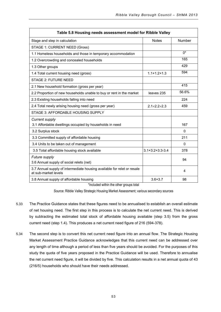| Table 5.8 Housing needs assessment model for Ribble Valley                                      |                         |              |  |  |
|-------------------------------------------------------------------------------------------------|-------------------------|--------------|--|--|
| Stage and step in calculation                                                                   | <b>Notes</b>            | Number       |  |  |
| STAGE 1: CURRENT NEED (Gross)                                                                   |                         |              |  |  |
| 1.1 Homeless households and those in temporary accommodation                                    |                         | $0^*$        |  |  |
| 1.2 Overcrowding and concealed households                                                       |                         | 165          |  |  |
| 1.3 Other groups                                                                                |                         | 429          |  |  |
| 1.4 Total current housing need (gross)                                                          | $1.1 + 1.2 + 1.3$       | 594          |  |  |
| <b>STAGE 2: FUTURE NEED</b>                                                                     |                         |              |  |  |
| 2.1 New household formation (gross per year)                                                    |                         | 415          |  |  |
| 2.2 Proportion of new households unable to buy or rent in the market                            | leaves 235              | 56.6%        |  |  |
| 2.3 Existing households falling into need                                                       |                         | 224          |  |  |
| 2.4 Total newly arising housing need (gross per year)                                           | $2.1 \times 2.2 + 2.3$  | 459          |  |  |
| STAGE 3: AFFORDABLE HOUSING SUPPLY                                                              |                         |              |  |  |
| <b>Current supply</b>                                                                           |                         |              |  |  |
| 3.1 Affordable dwellings occupied by households in need                                         |                         | 167          |  |  |
| 3.2 Surplus stock                                                                               |                         | $\mathbf{0}$ |  |  |
| 3.3 Committed supply of affordable housing                                                      |                         | 211          |  |  |
| 3.4 Units to be taken out of management                                                         |                         | $\mathbf{0}$ |  |  |
| 3.5 Total affordable housing stock available                                                    | $3.1 + 3.2 + 3.3 - 3.4$ | 378          |  |  |
| Future supply                                                                                   |                         | 94           |  |  |
| 3.6 Annual supply of social relets (net)                                                        |                         |              |  |  |
| 3.7 Annual supply of intermediate housing available for relet or resale<br>at sub-market levels |                         | 4            |  |  |
| 3.8 Annual supply of affordable housing<br>ALCOHOL: A CONTRACTOR<br>$1 - 1 - 1$                 | $3.6 + 3.7$             | 98           |  |  |

\*Included within the other groups total

Source: Ribble Valley Strategic Housing Market Assessment; various secondary sources

- 5.33 The Practice Guidance states that these figures need to be annualised to establish an overall estimate of net housing need. The first step in this process is to calculate the net current need. This is derived by subtracting the estimated total stock of affordable housing available (step 3.5) from the gross current need (step 1.4). This produces a net current need figure of 216 (594-378).
- 5.34 The second step is to convert this net current need figure into an annual flow. The Strategic Housing Market Assessment Practice Guidance acknowledges that this current need can be addressed over any length of time although a period of less than five years should be avoided. For the purposes of this study the quota of five years proposed in the Practice Guidance will be used. Therefore to annualise the net current need figure, it will be divided by five. This calculation results in a net annual quota of 43 (216/5) households who should have their needs addressed.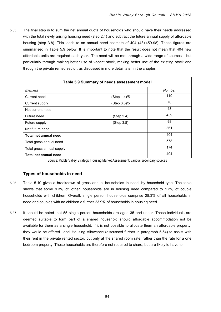5.35 The final step is to sum the net annual quota of households who should have their needs addressed with the total newly arising housing need (step 2.4) and subtract the future annual supply of affordable housing (step 3.8). This leads to an annual need estimate of 404 (43+459-98). These figures are summarised in Table 5.9 below. It is important to note that the result does not mean that 404 new affordable units are required each year. The need will be met through a wide range of sources – but particularly through making better use of vacant stock, making better use of the existing stock and through the private rented sector, as discussed in more detail later in the chapter.

| Table 5.9 Summary of needs assessment model |              |        |  |  |
|---------------------------------------------|--------------|--------|--|--|
| Element                                     |              | Number |  |  |
| Current need                                | (Step 1.4)/5 | 119    |  |  |
| Current supply                              | (Step 3.5)/5 | 76     |  |  |
| Net current need                            |              | 43     |  |  |
| Future need                                 | (Step 2.4)   | 459    |  |  |
| Future supply                               | (Step 3.8)   | 98     |  |  |
| Net future need                             |              | 361    |  |  |
| Total net annual need                       |              | 404    |  |  |
| Total gross annual need                     |              | 578    |  |  |
| Total gross annual supply                   |              | 174    |  |  |
| 404<br>Total net annual need                |              |        |  |  |

Source: Ribble Valley Strategic Housing Market Assessment; various secondary sources

# **Types of households in need**

- 5.36 Table 5.10 gives a breakdown of gross annual households in need, by household type. The table shows that some 9.3% of 'other' households are in housing need compared to 1.2% of couple households with children. Overall, single person households comprise 28.3% of all households in need and couples with no children a further 23.9% of households in housing need.
- 5.37 It should be noted that 55 single person households are aged 35 and under. These individuals are deemed suitable to form part of a shared household should affordable accommodation not be available for them as a single household. If it is not possible to allocate them an affordable property, they would be offered Local Housing Allowance (discussed further in paragraph 5.54) to assist with their rent in the private rented sector, but only at the shared room rate, rather than the rate for a one bedroom property. These households are therefore not required to share, but are likely to have to.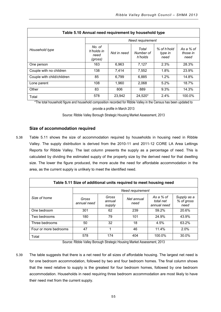| Table 5.10 Annual need requirement by household type |                                         |                  |                               |                                |                               |  |
|------------------------------------------------------|-----------------------------------------|------------------|-------------------------------|--------------------------------|-------------------------------|--|
|                                                      |                                         | Need requirement |                               |                                |                               |  |
| Household type                                       | No. of<br>h'holds in<br>need<br>(gross) | Not in need      | Total<br>Number of<br>h'holds | % of h'hold<br>type in<br>need | As a % of<br>those in<br>need |  |
| One person                                           | 163                                     | 6,963            | 7.127                         | 2.3%                           | 28.3%                         |  |
| Couple with no children                              | 138                                     | 7,414            | 7,552                         | 1.8%                           | 23.9%                         |  |
| Couple with child/children                           | 85                                      | 6,799            | 6,885                         | 1.2%                           | 14.8%                         |  |
| Lone parent                                          | 108                                     | 1,960            | 2,068                         | 5.2%                           | 18.7%                         |  |
| Other                                                | 83                                      | 806              | 889                           | 9.3%                           | 14.3%                         |  |
| Total                                                | 578                                     | 23,942           | 24,520*                       | 2.4%                           | 100.0%                        |  |

\*The total household figure and household composition recorded for Ribble Valley in the Census has been updated to

provide a profile in March 2013

Source: Ribble Valley Borough Strategic Housing Market Assessment, 2013

# **Size of accommodation required**

5.38 Table 5.11 shows the size of accommodation required by households in housing need in Ribble Valley. The supply distribution is derived from the 2010-11 and 2011-12 CORE LA Area Lettings Reports for Ribble Valley. The last column presents the supply as a percentage of need. This is calculated by dividing the estimated supply of the property size by the derived need for that dwelling size. The lower the figure produced, the more acute the need for affordable accommodation in the area, as the current supply is unlikely to meet the identified need.

| Table 5.11 Size of additional units required to meet housing need |                      |                           |                    |                                       |                                   |
|-------------------------------------------------------------------|----------------------|---------------------------|--------------------|---------------------------------------|-----------------------------------|
|                                                                   | Need requirement     |                           |                    |                                       |                                   |
| Size of home                                                      | Gross<br>annual need | Gross<br>annual<br>supply | Net annual<br>need | As a % of<br>total net<br>annual need | Supply as a<br>% of gross<br>need |
| One bedroom                                                       | 301                  | 62                        | 239                | 59.2%                                 | 20.6%                             |
| Two bedrooms                                                      | 180                  | 79                        | 101                | 24.9%                                 | 43.9%                             |
| Three bedrooms                                                    | 50                   | 32                        | 18                 | 4.5%                                  | 63.2%                             |
| Four or more bedrooms                                             | 47                   |                           | 46                 | 11.4%                                 | 2.0%                              |
| Total                                                             | 578                  | 174                       | 404                | 100.0%                                | 30.0%                             |

Source: Ribble Valley Borough Strategic Housing Market Assessment, 2013

5.39 The table suggests that there is a net need for all sizes of affordable housing. The largest net need is for one bedroom accommodation, followed by two and four bedroom homes. The final column shows that the need relative to supply is the greatest for four bedroom homes, followed by one bedroom accommodation. Households in need requiring three bedroom accommodation are most likely to have their need met from the current supply.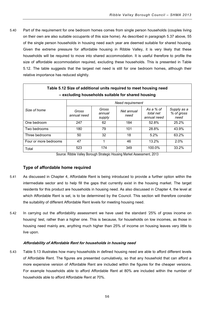5.40 Part of the requirement for one bedroom homes comes from single person households (couples living on their own are also suitable occupants of this size home). As described in paragraph 5.37 above, 55 of the single person households in housing need each year are deemed suitable for shared housing. Given the extreme pressure for affordable housing in Ribble Valley, it is very likely that these households will be required to move into shared accommodation. It is useful therefore to profile the size of affordable accommodation required, excluding these households. This is presented in Table 5.12. The table suggests that the largest net need is still for one bedroom homes, although their relative importance has reduced slightly.

| Table 5.12 Size of additional units required to meet housing need<br>- excluding households suitable for shared housing |                      |                           |                    |                                       |                                   |
|-------------------------------------------------------------------------------------------------------------------------|----------------------|---------------------------|--------------------|---------------------------------------|-----------------------------------|
|                                                                                                                         | Need requirement     |                           |                    |                                       |                                   |
| Size of home                                                                                                            | Gross<br>annual need | Gross<br>annual<br>supply | Net annual<br>need | As a % of<br>total net<br>annual need | Supply as a<br>% of gross<br>need |
| One bedroom                                                                                                             | 247                  | 62                        | 184                | 52.8%                                 | 25.2%                             |
| Two bedrooms                                                                                                            | 180                  | 79                        | 101                | 28.8%                                 | 43.9%                             |
| Three bedrooms                                                                                                          | 50                   | 32                        | 18                 | 5.2%                                  | 63.2%                             |
| Four or more bedrooms                                                                                                   | 47                   | 1                         | 46                 | 13.2%                                 | 2.0%                              |
| Total                                                                                                                   | 523                  | 174                       | 349                | 100.0%                                | 33.2%                             |

Source: Ribble Valley Borough Strategic Housing Market Assessment, 2013

# **Type of affordable home required**

- 5.41 As discussed in Chapter 4, Affordable Rent is being introduced to provide a further option within the intermediate sector and to help fill the gaps that currently exist in the housing market. The target residents for this product are households in housing need. As also discussed in Chapter 4, the level at which Affordable Rent is set, is to be determined by the Council. This section will therefore consider the suitability of different Affordable Rent levels for meeting housing need.
- 5.42 In carrying out the affordability assessment we have used the standard '25% of gross income on housing' test, rather than a higher one. This is because, for households on low incomes, as those in housing need mainly are, anything much higher than 25% of income on housing leaves very little to live upon.

# **Affordability of Affordable Rent for households in housing need**

5.43 Table 5.13 illustrates how many households in defined housing need are able to afford different levels of Affordable Rent. The figures are presented cumulatively, so that any household that can afford a more expensive version of Affordable Rent are included within the figures for the cheaper versions. For example households able to afford Affordable Rent at 80% are included within the number of households able to afford Affordable Rent at 70%.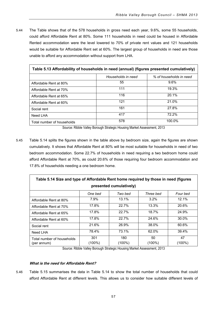5.44 The Table shows that of the 578 households in gross need each year, 9.6%, some 55 households, could afford Affordable Rent at 80%. Some 111 households in need could be housed in Affordable Rented accommodation were the level lowered to 70% of private rent values and 121 households would be suitable for Affordable Rent set at 60%. The largest group of households in need are those unable to afford any accommodation without support from LHA.

| Table 5.13 Affordability of households in need (annual) (figures presented cumulatively) |                    |                         |  |  |
|------------------------------------------------------------------------------------------|--------------------|-------------------------|--|--|
|                                                                                          | Households in need | % of households in need |  |  |
| Affordable Rent at 80%                                                                   | 55                 | $9.6\%$                 |  |  |
| Affordable Rent at 70%                                                                   | 111                | 19.3%                   |  |  |
| Affordable Rent at 65%                                                                   | 116                | 20.1%                   |  |  |
| Affordable Rent at 60%                                                                   | 121                | 21.0%                   |  |  |
| Social rent                                                                              | 161                | 27.8%                   |  |  |
| Need LHA                                                                                 | 417                | 72.2%                   |  |  |
| Total number of households                                                               | 578                | 100.0%                  |  |  |

Source: Ribble Valley Borough Strategic Housing Market Assessment, 2013

5.45 Table 5.14 splits the figures shown in the table above by bedroom size, again the figures are shown cumulatively. It shows that Affordable Rent at 80% will be most suitable for households in need of two bedroom accommodation. Some 22.7% of households in need requiring a two bedroom home could afford Affordable Rent at 70%, as could 20.6% of those requiring four bedroom accommodation and 17.8% of households needing a one bedroom home.

| Table 5.14 Size and type of Affordable Rent home required by those in need (figures |                  |                  |                 |                 |  |
|-------------------------------------------------------------------------------------|------------------|------------------|-----------------|-----------------|--|
| presented cumulatively)                                                             |                  |                  |                 |                 |  |
|                                                                                     | One bed          | Two bed          | Three bed       | Four bed        |  |
| Affordable Rent at 80%                                                              | 7.9%             | 13.1%            | 3.2%            | 12.1%           |  |
| Affordable Rent at 70%                                                              | 17.8%            | 22.7%            | 13.3%           | 20.6%           |  |
| Affordable Rent at 65%                                                              | 17.8%            | 22.7%            | 18.7%           | 24.9%           |  |
| Affordable Rent at 60%                                                              | 17.8%            | 22.7%            | 24.6%           | 30.0%           |  |
| Social rent                                                                         | 21.6%            | 26.9%            | 38.0%           | 60.6%           |  |
| Need LHA                                                                            | 78.4%            | 73.1%            | 62.0%           | 39.4%           |  |
| Total number of households<br>(per annum)                                           | 301<br>$(100\%)$ | 180<br>$(100\%)$ | 50<br>$(100\%)$ | 47<br>$(100\%)$ |  |

Source: Ribble Valley Borough Strategic Housing Market Assessment, 2013

# **What is the need for Affordable Rent?**

5.46 Table 5.15 summarises the data in Table 5.14 to show the total number of households that could afford Affordable Rent at different levels. This allows us to consider how suitable different levels of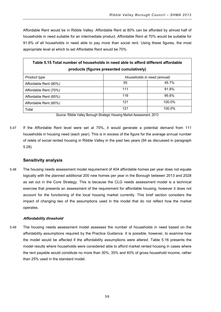Affordable Rent would be in Ribble Valley. Affordable Rent at 80% can be afforded by almost half of households in need suitable for an intermediate product. Affordable Rent at 70% would be suitable for 91.8% of all households in need able to pay more than social rent. Using these figures, the most appropriate level at which to set Affordable Rent would be 70%.

| Table 5.15 Total number of households in need able to afford different affordable<br>products (figures presented cumulatively) |     |                             |  |  |
|--------------------------------------------------------------------------------------------------------------------------------|-----|-----------------------------|--|--|
| <b>Product type</b>                                                                                                            |     | Households in need (annual) |  |  |
| Affordable Rent (80%)                                                                                                          | 55  | 45.7%                       |  |  |
| Affordable Rent (70%)                                                                                                          | 111 | 91.8%                       |  |  |
| Affordable Rent (65%)                                                                                                          | 116 | 95.6%                       |  |  |
| Affordable Rent (60%)                                                                                                          | 121 | 100.0%                      |  |  |
| Total                                                                                                                          | 121 | 100.0%                      |  |  |

Source: Ribble Valley Borough Strategic Housing Market Assessment, 2013

5.47 If the Affordable Rent level were set at 70%, it would generate a potential demand from 111 households in housing need (each year). This is in excess of the figure for the average annual number of relets of social rented housing in Ribble Valley in the past two years (94 as discussed in paragraph 5.28).

# **Sensitivity analysis**

5.48 The housing needs assessment model requirement of 404 affordable homes per year does not equate logically with the planned additional 200 new homes per year in the Borough between 2013 and 2028 as set out in the Core Strategy. This is because the CLG needs assessment model is a technical exercise that presents an assessment of the requirement for affordable housing, however it does not account for the functioning of the local housing market currently. This brief section considers the impact of changing two of the assumptions used in the model that do not reflect how the market operates.

# **Affordability threshold**

5.49 The housing needs assessment model assesses the number of households in need based on the affordability assumptions required by the Practice Guidance. It is possible, however, to examine how the model would be affected if the affordability assumptions were altered. Table 5.16 presents the model results where households were considered able to afford market rented housing in cases where the rent payable would constitute no more than 30%, 35% and 40% of gross household income, rather than 25% used in the standard model.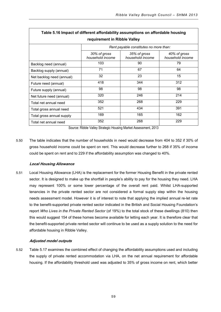| Table 5.16 Impact of different affordability assumptions on affordable housing |                                  |                                        |                                  |  |  |  |
|--------------------------------------------------------------------------------|----------------------------------|----------------------------------------|----------------------------------|--|--|--|
| requirement in Ribble Valley                                                   |                                  |                                        |                                  |  |  |  |
|                                                                                |                                  | Rent payable constitutes no more than: |                                  |  |  |  |
|                                                                                | 30% of gross<br>household income | 35% of gross<br>household income       | 40% of gross<br>household income |  |  |  |
| Backlog need (annual)                                                          | 103                              | 90                                     | 79                               |  |  |  |
| Backlog supply (annual)                                                        | 71                               | 67                                     | 64                               |  |  |  |
| Net backlog need (annual)                                                      | 32                               | 23                                     | 15                               |  |  |  |
| Future need (annual)                                                           | 418                              | 344                                    | 312                              |  |  |  |
| Future supply (annual)                                                         | 98                               | 98                                     | 98                               |  |  |  |
| Net future need (annual)                                                       | 320                              | 246                                    | 214                              |  |  |  |
| Total net annual need                                                          | 352                              | 268                                    | 229                              |  |  |  |
| Total gross annual need                                                        | 521                              | 434                                    | 391                              |  |  |  |
| Total gross annual supply                                                      | 169                              | 165                                    | 162                              |  |  |  |
| Total net annual need                                                          | 352                              | 268                                    | 229                              |  |  |  |

Source: Ribble Valley Strategic Housing Market Assessment, 2013

5.50 The table indicates that the number of households in need would decrease from 404 to 352 if 30% of gross household income could be spent on rent. This would decrease further to 268 if 35% of income could be spent on rent and to 229 if the affordability assumption was changed to 40%.

# **Local Housing Allowance**

5.51 Local Housing Allowance (LHA) is the replacement for the former Housing Benefit in the private rented sector. It is designed to make up the shortfall in people's ability to pay for the housing they need. LHA may represent 100% or some lower percentage of the overall rent paid. Whilst LHA-supported tenancies in the private rented sector are not considered a formal supply step within the housing needs assessment model. However it is of interest to note that applying the implied annual re-let rate to the benefit-supported private rented sector indicated in the British and Social Housing Foundation's report *Who Lives in the Private Rented Sector* (of 19%) to the total stock of these dwellings (810) then this would suggest 154 of these homes become available for letting each year. It is therefore clear that the benefit-supported private rented sector will continue to be used as a supply solution to the need for affordable housing in Ribble Valley.

# **Adjusted model outputs**

5.52 Table 5.17 examines the combined effect of changing the affordability assumptions used and including the supply of private rented accommodation via LHA, on the net annual requirement for affordable housing. If the affordability threshold used was adjusted to 35% of gross income on rent, which better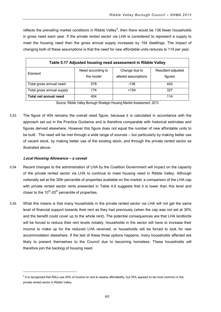reflects the prevailing market conditions in Ribble Valley<sup>[6](#page-63-0)</sup>, then there would be 136 fewer households in gross need each year. If the private rented sector via LHA is considered to represent a supply to meet the housing need then the gross annual supply increases by 154 dwellings. The impact of changing both of these assumptions is that the need for new affordable units reduces to 114 per year.

| Table 5.17 Adjusted housing need assessment in Ribble Valley |                   |                     |                    |  |  |
|--------------------------------------------------------------|-------------------|---------------------|--------------------|--|--|
|                                                              | Need according to | Change due to       | Resultant adjusted |  |  |
| Element                                                      | the model         | altered assumptions | figures            |  |  |
| Total gross annual need                                      | 578               | -136                | 442                |  |  |
| Total gross annual supply                                    | 174               | $+154$              | 327                |  |  |
| Total net annual need                                        | 404               |                     | 114                |  |  |

Source: Ribble Valley Borough Strategic Housing Market Assessment, 2013

5.53 The figure of 404 remains the overall need figure, because it is calculated in accordance with the approach set out in the Practice Guidance and is therefore comparable with historical estimates and figures derived elsewhere. However this figure does not equal the number of new affordable units to be built. The need will be met through a wide range of sources – but particularly by making better use of vacant stock, by making better use of the existing stock, and through the private rented sector as illustrated above.

# **Local Housing Allowance – <sup>a</sup> caveat**

-

- 5.54 Recent changes to the administration of LHA by the Coalition Government will impact on the capacity of the private rented sector via LHA to continue to meet housing need in Ribble Valley. Although notionally set at the 30th percentile of properties available on the market, a comparison of the LHA cap with private rented sector rents presented in Table 4.6 suggests that it is lower than this level and closer to the  $10^{th}$ -20<sup>th</sup> percentile of properties.
- 5.55 What this means is that many households in the private rented sector via LHA will not get the same level of financial support towards their rent as they had previously (when the cap was not set at 30% and the benefit could cover up to the whole rent). The potential consequences are that LHA landlords will be forced to reduce their rent levels notably, households in the sector will have to increase their income to make up for the reduced LHA received, or households will be forced to look for new accommodation elsewhere. If the last of these three options happens, many households affected are likely to present themselves to the Council due to becoming homeless. These households will therefore join the backlog of housing need.

<span id="page-63-0"></span> $6$  It is recognised that RSLs use 40% of income on rent to assess affordability, but 35% appears to be most common in the private rented sector in Ribble Valley.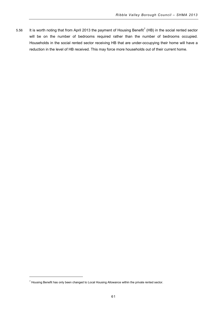5.56 It is worth noting that from April 2013 the payment of Housing Benefit<sup>[7](#page-64-0)</sup> (HB) in the social rented sector will be on the number of bedrooms required rather than the number of bedrooms occupied. Households in the social rented sector receiving HB that are under-occupying their home will have a reduction in the level of HB received. This may force more households out of their current home.

-

<span id="page-64-0"></span> $7$  Housing Benefit has only been changed to Local Housing Allowance within the private rented sector.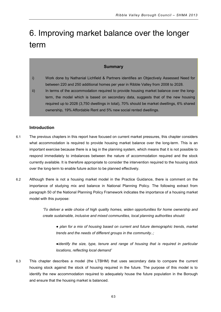# 6. Improving market balance over the longer term

# **Summary**

- i) Work done by Nathanial Lichfield & Partners identifies an Objectively Assessed Need for between 220 and 250 additional homes per year in Ribble Valley from 2008 to 2028.
- ii) In terms of the accommodation required to provide housing market balance over the longterm, the model which is based on secondary data, suggests that of the new housing required up to 2028 (3,750 dwellings in total), 70% should be market dwellings, 6% shared ownership, 19% Affordable Rent and 5% new social rented dwellings.

# **Introduction**

- 6.1 The previous chapters in this report have focused on current market pressures, this chapter considers what accommodation is required to provide housing market balance over the long-term. This is an important exercise because there is a lag in the planning system, which means that it is not possible to respond immediately to imbalances between the nature of accommodation required and the stock currently available. It is therefore appropriate to consider the intervention required to the housing stock over the long-term to enable future action to be planned effectively.
- 6.2 Although there is not a housing market model in the Practice Guidance, there is comment on the importance of studying mix and balance in National Planning Policy. The following extract from paragraph 50 of the National Planning Policy Framework indicates the importance of a housing market model with this purpose:

*'To deliver a wide choice of high quality homes, widen opportunities for home ownership and create sustainable, inclusive and mixed communities, local planning authorities should:*

● plan for a mix of housing based on current and future demographic trends, market *trends and the needs of different groups in the community..;*

*●identify the size, type, tenure and range of housing that is required in particular locations, reflecting local demand'*

6.3 This chapter describes a model (the LTBHM) that uses secondary data to compare the current housing stock against the stock of housing required in the future. The purpose of this model is to identify the new accommodation required to adequately house the future population in the Borough and ensure that the housing market is balanced.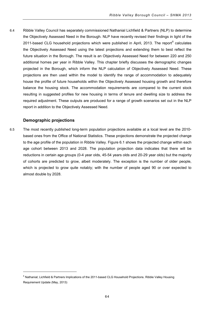6.4 Ribble Valley Council has separately commissioned Nathanial Lichfield & Partners (NLP) to determine the Objectively Assessed Need in the Borough. NLP have recently revised their findings in light of the 2011-based CLG household projections which were published in April, 2013. The report<sup>[8](#page-67-0)</sup> calculates the Objectively Assessed Need using the latest projections and extending them to best reflect the future situation in the Borough. The result is an Objectively Assessed Need for between 220 and 250 additional homes per year in Ribble Valley. This chapter briefly discusses the demographic changes projected in the Borough, which inform the NLP calculation of Objectively Assessed Need. These projections are then used within the model to identify the range of accommodation to adequately house the profile of future households within the Objectively Assessed housing growth and therefore balance the housing stock. The accommodation requirements are compared to the current stock resulting in suggested profiles for new housing in terms of tenure and dwelling size to address the required adjustment. These outputs are produced for a range of growth scenarios set out in the NLP report in addition to the Objectively Assessed Need.

# **Demographic projections**

j

6.5 The most recently published long-term population projections available at a local level are the 2010 based ones from the Office of National Statistics. These projections demonstrate the projected change to the age profile of the population in Ribble Valley. Figure 6.1 shows the projected change within each age cohort between 2013 and 2028. The population projection data indicates that there will be reductions in certain age groups (0-4 year olds, 45-54 years olds and 20-29 year olds) but the majority of cohorts are predicted to grow, albeit moderately. The exception is the number of older people, which is projected to grow quite notably; with the number of people aged 90 or over expected to almost double by 2028.

<span id="page-67-0"></span><sup>&</sup>lt;sup>8</sup> Nathanial; Lichfield & Partners Implications of the 2011-based CLG Household Projections. Ribble Valley Housing Requirement Update (May, 2013)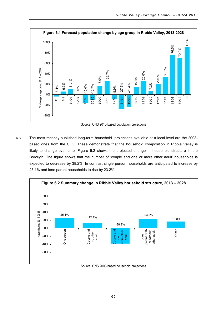

Source: ONS 2010-based population projections

6.6 The most recently published long-term household projections available at a local level are the 2008 based ones from the CLG. These demonstrate that the household composition in Ribble Valley is likely to change over time. Figure 6.2 shows the projected change in household structure in the Borough. The figure shows that the number of 'couple and one or more other adult' households is expected to decrease by 38.2%. In contrast single person households are anticipated to increase by 25.1% and lone parent households to rise by 23.2%.



Source: ONS 2008-based household projections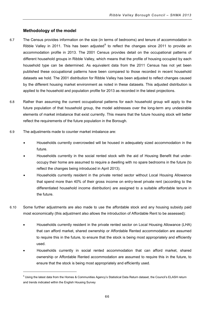# **Methodology of the model**

- 6.7 The Census provides information on the size (in terms of bedrooms) and tenure of accommodation in Ribble Valley in 2011. This has been adjusted $9$  to reflect the changes since 2011 to provide an accommodation profile in 2013. The 2001 Census provides detail on the occupational patterns of different household groups in Ribble Valley, which means that the profile of housing occupied by each household type can be determined. As equivalent data from the 2011 Census has not yet been published these occupational patterns have been compared to those recorded in recent household datasets we hold. The 2001 distribution for Ribble Valley has been adjusted to reflect changes caused by the different housing market environment as noted in these datasets. This adjusted distribution is applied to the household and population profile for 2013 as recorded in the latest projections.
- 6.8 Rather than assuming the current occupational patterns for each household group will apply to the future population of that household group, the model addresses over the long-term any undesirable elements of market imbalance that exist currently. This means that the future housing stock will better reflect the requirements of the future population in the Borough.
- 6.9 The adjustments made to counter market imbalance are:

j

- Households currently overcrowded will be housed in adequately sized accommodation in the future.
- Households currently in the social rented stock with the aid of Housing Benefit that underoccupy their home are assumed to require a dwelling with no spare bedrooms in the future (to reflect the changes being introduced in April 2013).
- Households currently resident in the private rented sector without Local Housing Allowance that spend more than 40% of their gross income on entry-level private rent (according to the differentiated household income distribution) are assigned to a suitable affordable tenure in the future.
- 6.10 Some further adjustments are also made to use the affordable stock and any housing subsidy paid most economically (this adjustment also allows the introduction of Affordable Rent to be assessed):
	- Households currently resident in the private rented sector on Local Housing Allowance (LHA) that can afford market, shared ownership or Affordable Rented accommodation are assumed to require this in the future, to ensure that the stock is being most appropriately and efficiently used.
	- Households currently in social rented accommodation that can afford market, shared ownership or Affordable Rented accommodation are assumed to require this in the future, to ensure that the stock is being most appropriately and efficiently used.

<span id="page-69-0"></span><sup>&</sup>lt;sup>9</sup> Using the latest data from the Homes & Communities Agency's Statistical Data Return dataset, the Council's ELASH return and trends indicated within the English Housing Survey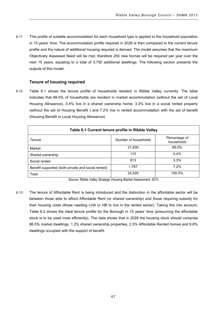6.11 This profile of suitable accommodation for each household type is applied to the household population in 15 years' time. The accommodation profile required in 2028 is then compared to the current tenure profile and the nature of additional housing required is derived. The model assumes that the maximum Objectively Assessed Need will be met, therefore 250 new homes will be required per year over the next 15 years, equating to a total of 3,750 additional dwellings. The following section presents the outputs of this model.

# **Tenure of housing required**

6.12 Table 6.1 shows the tenure profile of households resident in Ribble Valley currently. The table indicates that 89.0% of households are resident in market accommodation (without the aid of Local Housing Allowance), 0.4% live in a shared ownership home, 3.3% live in a social rented property (without the aid of Housing Benefit ) and 7.2% live in rented accommodation with the aid of benefit (Housing Benefit or Local Housing Allowance).

| Table 6.1 Current tenure profile in Ribble Valley  |                      |                             |  |  |  |
|----------------------------------------------------|----------------------|-----------------------------|--|--|--|
| Tenure                                             | Number of households | Percentage of<br>households |  |  |  |
| Market                                             | 21,830               | 89.0%                       |  |  |  |
| Shared ownership                                   | 110                  | $0.4\%$                     |  |  |  |
| Social rented                                      | 813                  | 3.3%                        |  |  |  |
| Benefit supported (both private and social rented) | 1,767                | 7.2%                        |  |  |  |
| Total                                              | 24,520               | 100.0%                      |  |  |  |

Source: Ribble Valley Strategic Housing Market Assessment, 2013

6.13 The tenure of Affordable Rent is being introduced and the distinction in the affordable sector will be between those able to afford Affordable Rent (or shared ownership) and those requiring subsidy for their housing costs (those needing LHA or HB to live in the rented sector). Taking this into account, Table 6.2 shows the ideal tenure profile for the Borough in 15 years' time (presuming the affordable stock is to be used most efficiently). The data shows that in 2028 the housing stock should comprise 86.5% market dwellings, 1.2% shared ownership properties, 2.5% Affordable Rented homes and 9.8% dwellings occupied with the support of benefit.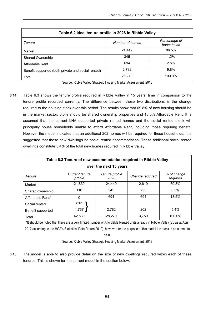| Table 6.2 Ideal tenure profile in 2028 in Ribble Valley |                 |                             |  |  |  |
|---------------------------------------------------------|-----------------|-----------------------------|--|--|--|
| <b>Tenure</b>                                           | Number of homes | Percentage of<br>households |  |  |  |
| Market                                                  | 24.449          | 86.5%                       |  |  |  |
| <b>Shared Ownership</b>                                 | 345             | 1.2%                        |  |  |  |
| Affordable Rent                                         | 694             | 2.5%                        |  |  |  |
| Benefit supported (both private and social rented)      | 2,782           | 9.8%                        |  |  |  |
| Total                                                   | 28,270          | 100.0%                      |  |  |  |

Source: Ribble Valley Strategic Housing Market Assessment, 2013

6.14 Table 6.3 shows the tenure profile required in Ribble Valley in 15 years' time in comparison to the tenure profile recorded currently. The difference between these two distributions is the change required to the housing stock over this period. The results show that 69.8% of new housing should be in the market sector, 6.3% should be shared ownership properties and 18.5% Affordable Rent. It is assumed that the current LHA supported private rented homes and the social rented stock will principally house households unable to afford Affordable Rent, including those requiring benefit. However the model indicates that an additional 202 homes will be required for these households. It is suggested that these new dwellings be social rented accommodation. These additional social rented dwellings constitute 5.4% of the total new homes required in Ribble Valley.

| Table 6.3 Tenure of new accommodation required in Ribble Valley |                           |                        |                 |                         |  |  |
|-----------------------------------------------------------------|---------------------------|------------------------|-----------------|-------------------------|--|--|
| over the next 15 years                                          |                           |                        |                 |                         |  |  |
| <b>Tenure</b>                                                   | Current tenure<br>profile | Tenure profile<br>2028 | Change required | % of change<br>required |  |  |
| Market                                                          | 21.830                    | 24.449                 | 2.619           | 69.8%                   |  |  |
| Shared ownership                                                | 110                       | 345                    | 235             | 6.3%                    |  |  |
| Affordable Rent*                                                | 0                         | 694                    | 694             | 18.5%                   |  |  |
| Social rented                                                   | 813                       |                        |                 |                         |  |  |
| Benefit supported                                               | 1,767                     | 2,782                  | 202             | 5.4%                    |  |  |
| Total                                                           | 42,530                    | 28.270                 | 3.750           | 100.0%                  |  |  |

\*It should be noted that there are a very limited number of Affordable Rented units already in Ribble Valley (25 as at April 2012 according to the HCA's Statistical Data Return 2012), however for the purpose of this model the stock is presumed to

be 0.

Source: Ribble Valley Strategic Housing Market Assessment, 2013

6.15 The model is able to also provide detail on the size of new dwellings required within each of these tenures. This is shown for the current model in the section below.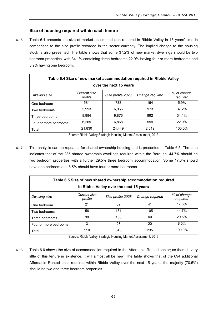# **Size of housing required within each tenure**

6.16 Table 6.4 presents the size of market accommodation required in Ribble Valley in 15 years' time in comparison to the size profile recorded in the sector currently. The implied change to the housing stock is also presented. The table shows that some 37.2% of new market dwellings should be two bedroom properties, with 34.1% containing three bedrooms 22.9% having four or more bedrooms and 5.9% having one bedroom.

| Table 6.4 Size of new market accommodation required in Ribble Valley |                         |                   |                 |                         |  |  |  |
|----------------------------------------------------------------------|-------------------------|-------------------|-----------------|-------------------------|--|--|--|
| over the next 15 years                                               |                         |                   |                 |                         |  |  |  |
| <b>Dwelling size</b>                                                 | Current size<br>profile | Size profile 2028 | Change required | % of change<br>required |  |  |  |
| One bedroom                                                          | 584                     | 738               | 154             | 5.9%                    |  |  |  |
| Two bedrooms                                                         | 5.993                   | 6.966             | 973             | 37.2%                   |  |  |  |
| Three bedrooms                                                       | 8,984                   | 9.876             | 892             | 34.1%                   |  |  |  |
| Four or more bedrooms                                                | 6,269                   | 6.868             | 599             | 22.9%                   |  |  |  |
| Total                                                                | 21,830                  | 24.449            | 2.619           | 100.0%                  |  |  |  |

Source: Ribble Valley Strategic Housing Market Assessment, 2013

6.17 This analysis can be repeated for shared ownership housing and is presented in Table 6.5. The data indicates that of the 235 shared ownership dwellings required within the Borough, 44.7% should be two bedroom properties with a further 29.5% three bedroom accommodation. Some 17.3% should have one bedroom and 8.5% should have four or more bedrooms.

| Table 6.5 Size of new shared ownership accommodation required<br>in Ribble Valley over the next 15 years |                         |                   |                 |                         |  |  |
|----------------------------------------------------------------------------------------------------------|-------------------------|-------------------|-----------------|-------------------------|--|--|
| <b>Dwelling size</b>                                                                                     | Current size<br>profile | Size profile 2028 | Change required | % of change<br>required |  |  |
| One bedroom                                                                                              | 21                      | 62                | 41              | 17.3%                   |  |  |
| Two bedrooms                                                                                             | 56                      | 161               | 105             | 44.7%                   |  |  |
| Three bedrooms                                                                                           | 30                      | 100               | 69              | 29.5%                   |  |  |
| Four or more bedrooms                                                                                    | 3                       | 23                | 20              | 8.5%                    |  |  |
| Total                                                                                                    | 110                     | 345               | 235             | 100.0%                  |  |  |

Source: Ribble Valley Strategic Housing Market Assessment, 2013

6.18 Table 6.6 shows the size of accommodation required in the Affordable Rented sector; as there is very little of this tenure in existence, it will almost all be new. The table shows that of the 694 additional Affordable Rented units required within Ribble Valley over the next 15 years, the majority (70.5%) should be two and three bedroom properties.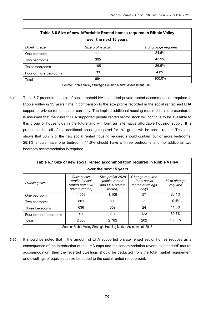| Table 6.6 Size of new Affordable Rented homes required in Ribble Valley |                   |                      |  |  |  |  |
|-------------------------------------------------------------------------|-------------------|----------------------|--|--|--|--|
| over the next 15 years                                                  |                   |                      |  |  |  |  |
| Dwelling size                                                           | Size profile 2028 | % of change required |  |  |  |  |
| One bedroom                                                             | 171               | 24.6%                |  |  |  |  |
| Two bedrooms                                                            | 305               | 43.9%                |  |  |  |  |
| Three bedrooms                                                          | 185               | 26.6%                |  |  |  |  |
| Four or more bedrooms                                                   | 33                | 4.8%                 |  |  |  |  |
| Total                                                                   | 694               | 100.0%               |  |  |  |  |

Source: Ribble Valley Strategic Housing Market Assessment, 2013

6.19 Table 6.7 presents the size of social rented/LHA supported private rented accommodation required in Ribble Valley in 15 years' time in comparison to the size profile recorded in the social rented and LHA supported private rented sector currently. The implied additional housing required is also presented. It is assumed that the current LHA supported private rented sector stock will continue to be available to this group of households in the future and will form an 'alternative affordable housing' supply. It is presumed that all of the additional housing required for this group will be social rented. The table shows that 60.7% of the new social rented housing required should contain four or more bedrooms, 28.1% should have one bedroom, 11.6% should have a three bedrooms and no additional two bedroom accommodation is required.

| Table 6.7 Size of new social rented accommodation required in Ribble Valley |                                                                      |                                                                   |                                                             |                         |  |  |  |
|-----------------------------------------------------------------------------|----------------------------------------------------------------------|-------------------------------------------------------------------|-------------------------------------------------------------|-------------------------|--|--|--|
| over the next 15 years                                                      |                                                                      |                                                                   |                                                             |                         |  |  |  |
| Dwelling size                                                               | Current size<br>profile (social<br>rented and LHA<br>private rented) | Size profile 2028<br>(social rented<br>and LHA private<br>rented) | Change required<br>(new social<br>rented dwellings<br>only) | % of change<br>required |  |  |  |
| One bedroom                                                                 | 1.052                                                                | 1.109                                                             | 57                                                          | 28.1%                   |  |  |  |
| Two bedrooms                                                                | 801                                                                  | 800                                                               | $-1$                                                        | $-0.4%$                 |  |  |  |
| Three bedrooms                                                              | 636                                                                  | 659                                                               | 24                                                          | 11.6%                   |  |  |  |
| Four or more bedrooms                                                       | 91                                                                   | 214                                                               | 123                                                         | 60.7%                   |  |  |  |
| Total                                                                       | 2,580                                                                | 2.782                                                             | 202                                                         | 100.0%                  |  |  |  |

Source: Ribble Valley Strategic Housing Market Assessment, 2013

6.20 It should be noted that if the amount of LHA supported private rented sector homes reduces as a consequence of the introduction of the LHA caps and the accommodation reverts to 'standard' market accommodation, then the reverted dwellings should be deducted from the total market requirement and dwellings of equivalent size be added to the social rented requirement.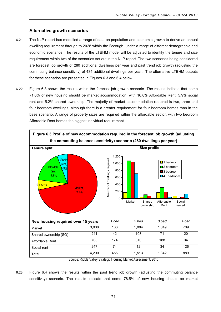# **Alternative growth scenarios**

- 6.21 The NLP report has modelled a range of data on population and economic growth to derive an annual dwelling requirement through to 2028 within the Borough ,under a range of different demographic and economic scenarios. The results of the LTBHM model will be adjusted to identify the tenure and size requirement within two of the scenarios set out in the NLP report. The two scenarios being considered are forecast job growth of 280 additional dwellings per year and past trend job growth (adjusting the commuting balance sensitivity) of 434 additional dwellings per year. The alternative LTBHM outputs for these scenarios are presented in Figures 6.3 and 6.4 below.
- 6.22 Figure 6.3 shows the results within the forecast job growth scenario. The results indicate that some 71.6% of new housing should be market accommodation, with 16.8% Affordable Rent, 5.9% social rent and 5.2% shared ownership. The majority of market accommodation required is two, three and four bedroom dwellings, although there is a greater requirement for four bedroom homes than in the base scenario. A range of property sizes are required within the affordable sector, with two bedroom Affordable Rent homes the biggest individual requirement.



Source: Ribble Valley Strategic Housing Market Assessment, 2013

6.23 Figure 6.4 shows the results within the past trend job growth (adjusting the commuting balance sensitivity) scenario. The results indicate that some 78.5% of new housing should be market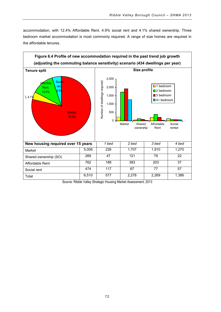accommodation, with 12.4% Affordable Rent, 4.9% social rent and 4.1% shared ownership. Three bedroom market accommodation is most commonly required. A range of size homes are required in the affordable tenures.



Source: Ribble Valley Strategic Housing Market Assessment, 2013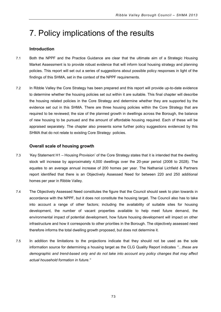# 7. Policy implications of the results

# **Introduction**

- 7.1 Both the NPPF and the Practice Guidance are clear that the ultimate aim of a Strategic Housing Market Assessment is to provide robust evidence that will inform local housing strategy and planning policies. This report will set out a series of suggestions about possible policy responses in light of the findings of this SHMA, set in the context of the NPPF requirements.
- 7.2 In Ribble Valley the Core Strategy has been prepared and this report will provide up-to-date evidence to determine whether the housing policies set out within it are suitable. This final chapter will describe the housing related policies in the Core Strategy and determine whether they are supported by the evidence set out in this SHMA. There are three housing policies within the Core Strategy that are required to be reviewed; the size of the planned growth in dwellings across the Borough, the balance of new housing to be pursued and the amount of affordable housing required. Each of these will be appraised separately. The chapter also presents some further policy suggestions evidenced by this SHMA that do not relate to existing Core Strategy policies.

# **Overall scale of housing growth**

- 7.3 'Key Statement H1 Housing Provision' of the Core Strategy states that it is intended that the dwelling stock will increase by approximately 4,000 dwellings over the 20-year period (2008 to 2028). The equates to an average annual increase of 200 homes per year. The Nathanial Lichfield & Partners report identified that there is an Objectively Assessed Need for between 220 and 250 additional homes per year in Ribble Valley.
- 7.4 The Objectively Assessed Need constitutes the figure that the Council should seek to plan towards in accordance with the NPPF, but it does not constitute the housing target. The Council also has to take into account a range of other factors; including the availability of suitable sites for housing development, the number of vacant properties available to help meet future demand, the environmental impact of potential development, how future housing development will impact on other infrastructure and how it corresponds to other priorities in the Borough. The objectively assessed need therefore informs the total dwelling growth proposed, but does not determine it.
- 7.5 In addition the limitations to the projections indicate that they should not be used as the sole information source for determining a housing target as the CLG Quality Report indicates *"…these are demographic and trend-based only and do not take into account any policy changes that may affect actual household formation in future."*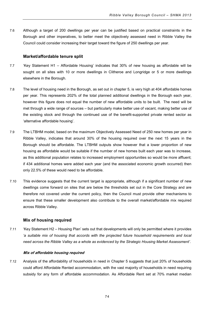7.6 Although a target of 200 dwellings per year can be justified based on practical constraints in the Borough and other imperatives, to better meet the objectively assessed need in Ribble Valley the Council could consider increasing their target toward the figure of 250 dwellings per year.

## **Market/affordable tenure split**

- 7.7 'Key Statement H1 Affordable Housing' indicates that 30% of new housing as affordable will be sought on all sites with 10 or more dwellings in Clitheroe and Longridge or 5 or more dwellings elsewhere in the Borough.
- 7.8 The level of housing need in the Borough, as set out in chapter 5, is very high at 404 affordable homes per year. This represents 202% of the total planned additional dwellings in the Borough each year, however this figure does not equal the number of new affordable units to be built. The need will be met through a wide range of sources – but particularly make better use of vacant, making better use of the existing stock and through the continued use of the benefit-supported private rented sector as 'alternative affordable housing'.
- 7.9 The LTBHM model, based on the maximum Objectively Assessed Need of 250 new homes per year in Ribble Valley, indicates that around 30% of the housing required over the next 15 years in the Borough should be affordable. The LTBHM outputs show however that a lower proportion of new housing as affordable would be suitable if the number of new homes built each year was to increase, as this additional population relates to increased employment opportunities so would be more affluent; if 434 additional homes were added each year (and the associated economic growth occurred) then only 22.5% of these would need to be affordable.
- 7.10 This evidence suggests that the current target is appropriate, although if a significant number of new dwellings come forward on sites that are below the thresholds set out in the Core Strategy and are therefore not covered under the current policy, then the Council must provide other mechanisms to ensure that these smaller development also contribute to the overall market/affordable mix required across Ribble Valley.

## **Mix of housing required**

7.11 'Key Statement H2 – Housing Plan' sets out that developments will only be permitted where it provides *'a suitable mix of housing that accords with the projected future household requirements and local need across the Ribble Valley as a whole as evidenced by the Strategic Housing Market Assessment'*.

#### **Mix of affordable housing required**

7.12 Analysis of the affordability of households in need in Chapter 5 suggests that just 20% of households could afford Affordable Rented accommodation, with the vast majority of households in need requiring subsidy for any form of affordable accommodation. As Affordable Rent set at 70% market median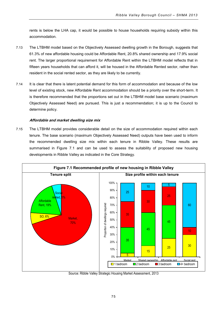rents is below the LHA cap, it would be possible to house households requiring subsidy within this accommodation.

- 7.13 The LTBHM model based on the Objectively Assessed dwelling growth in the Borough, suggests that 61.3% of new affordable housing could be Affordable Rent, 20.8% shared ownership and 17.9% social rent. The larger proportional requirement for Affordable Rent within the LTBHM model reflects that in fifteen years households that can afford it, will be housed in the Affordable Rented sector, rather than resident in the social rented sector, as they are likely to be currently.
- 7.14 It is clear that there is latent potential demand for this form of accommodation and because of the low level of existing stock, new Affordable Rent accommodation should be a priority over the short-term. It is therefore recommended that the proportions set out in the LTBHM model base scenario (maximum Objectively Assessed Need) are pursued. This is just a recommendation; it is up to the Council to determine policy.

# **Affordable and market dwelling size mix**

7.15 The LTBHM model provides considerable detail on the size of accommodation required within each tenure. The base scenario (maximum Objectively Assessed Need) outputs have been used to inform the recommended dwelling size mix within each tenure in Ribble Valley. These results are summarised in Figure 7.1 and can be used to assess the suitability of proposed new housing developments in Ribble Valley as indicated in the Core Strategy.



Source: Ribble Valley Strategic Housing Market Assessment, 2013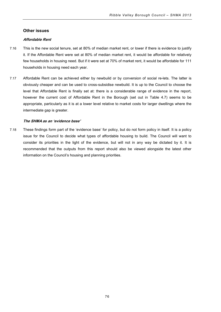## **Other issues**

## **Affordable Rent**

- 7.16 This is the new social tenure, set at 80% of median market rent, or lower if there is evidence to justify it. If the Affordable Rent were set at 80% of median market rent, it would be affordable for relatively few households in housing need. But if it were set at 70% of market rent, it would be affordable for 111 households in housing need each year.
- 7.17 Affordable Rent can be achieved either by newbuild or by conversion of social re-lets. The latter is obviously cheaper and can be used to cross-subsidise newbuild. It is up to the Council to choose the level that Affordable Rent is finally set at: there is a considerable range of evidence in the report, however the current cost of Affordable Rent in the Borough (set out in Table 4.7) seems to be appropriate, particularly as it is at a lower level relative to market costs for larger dwellings where the intermediate gap is greater.

# **The SHMA as an 'evidence base'**

7.18 These findings form part of the 'evidence base' for policy, but do not form policy in itself. It is a policy issue for the Council to decide what types of affordable housing to build. The Council will want to consider its priorities in the light of the evidence, but will not in any way be dictated by it. It is recommended that the outputs from this report should also be viewed alongside the latest other information on the Council's housing and planning priorities.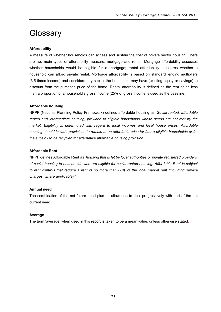# **Glossary**

# **Affordability**

A measure of whether households can access and sustain the cost of private sector housing. There are two main types of affordability measure: mortgage and rental. Mortgage affordability assesses whether households would be eligible for a mortgage; rental affordability measures whether a household can afford private rental. Mortgage affordability is based on standard lending multipliers (3.5 times income) and considers any capital the household may have (existing equity or savings) to discount from the purchase price of the home. Rental affordability is defined as the rent being less than a proportion of a household's gross income (25% of gross income is used as the baseline).

# **Affordable housing**

NPPF (National Planning Policy Framework) defines affordable housing as *'Social rented, affordable rented and intermediate housing, provided to eligible households whose needs are not met by the market. Eligibility is determined with regard to local incomes and local house prices. Affordable housing should include provisions to remain at an affordable price for future eligible households or for the subsidy to be recycled for alternative affordable housing provision.'*

## **Affordable Rent**

NPPF defines Affordable Rent *as 'housing that is let by local authorities or private registered providers of social housing to households who are eligible for social rented housing. Affordable Rent is subject to rent controls that require a rent of no more than 80% of the local market rent (including service charges, where applicable).'*

## **Annual need**

The combination of the net future need plus an allowance to deal progressively with part of the net current need.

## **Average**

The term 'average' when used in this report is taken to be a mean value, unless otherwise stated.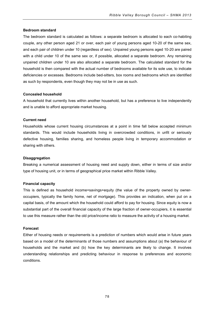#### **Bedroom standard**

The bedroom standard is calculated as follows: a separate bedroom is allocated to each co-habiting couple, any other person aged 21 or over, each pair of young persons aged 10-20 of the same sex, and each pair of children under 10 (regardless of sex). Unpaired young persons aged 10-20 are paired with a child under 10 of the same sex or, if possible, allocated a separate bedroom. Any remaining unpaired children under 10 are also allocated a separate bedroom. The calculated standard for the household is then compared with the actual number of bedrooms available for its sole use, to indicate deficiencies or excesses. Bedrooms include bed-sitters, box rooms and bedrooms which are identified as such by respondents, even though they may not be in use as such.

#### **Concealed household**

A household that currently lives within another household, but has a preference to live independently and is unable to afford appropriate market housing.

## **Current need**

Households whose current housing circumstances at a point in time fall below accepted minimum standards. This would include households living in overcrowded conditions, in unfit or seriously defective housing, families sharing, and homeless people living in temporary accommodation or sharing with others.

#### **Disaggregation**

Breaking a numerical assessment of housing need and supply down, either in terms of size and/or type of housing unit, or in terms of geographical price market within Ribble Valley.

#### **Financial capacity**

This is defined as household income+savings+equity (the value of the property owned by owneroccupiers, typically the family home, net of mortgage). This provides an indication, when put on a capital basis, of the amount which the household could afford to pay for housing. Since equity is now a substantial part of the overall financial capacity of the large fraction of owner-occupiers, it is essential to use this measure rather than the old price/income ratio to measure the activity of a housing market.

#### **Forecast**

Either of housing needs or requirements is a prediction of numbers which would arise in future years based on a model of the determinants of those numbers and assumptions about (a) the behaviour of households and the market and (b) how the key determinants are likely to change. It involves understanding relationships and predicting behaviour in response to preferences and economic conditions.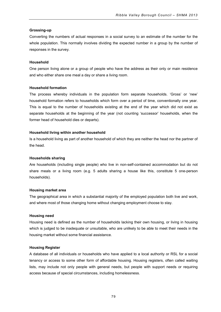## **Grossing-up**

Converting the numbers of actual responses in a social survey to an estimate of the number for the whole population. This normally involves dividing the expected number in a group by the number of responses in the survey.

## **Household**

One person living alone or a group of people who have the address as their only or main residence and who either share one meal a day or share a living room.

# **Household formation**

The process whereby individuals in the population form separate households. 'Gross' or 'new' household formation refers to households which form over a period of time, conventionally one year. This is equal to the number of households existing at the end of the year which did not exist as separate households at the beginning of the year (not counting 'successor' households, when the former head of household dies or departs).

# **Household living within another household**

Is a household living as part of another household of which they are neither the head nor the partner of the head.

## **Households sharing**

Are households (including single people) who live in non-self-contained accommodation but do not share meals or a living room (e.g. 5 adults sharing a house like this, constitute 5 one-person households).

## **Housing market area**

The geographical area in which a substantial majority of the employed population both live and work, and where most of those changing home without changing employment choose to stay.

## **Housing need**

Housing need is defined as the number of households lacking their own housing, or living in housing which is judged to be inadequate or unsuitable, who are unlikely to be able to meet their needs in the housing market without some financial assistance.

# **Housing Register**

A database of all individuals or households who have applied to a local authority or RSL for a social tenancy or access to some other form of affordable housing. Housing registers, often called waiting lists, may include not only people with general needs, but people with support needs or requiring access because of special circumstances, including homelessness.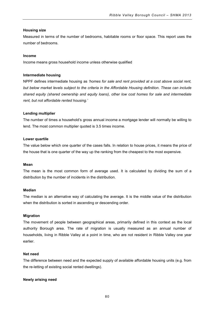## **Housing size**

Measured in terms of the number of bedrooms, habitable rooms or floor space. This report uses the number of bedrooms.

#### **Income**

Income means gross household income unless otherwise qualified

## **Intermediate housing**

NPPF defines intermediate housing as *'homes for sale and rent provided at a cost above social rent, but below market levels subject to the criteria in the Affordable Housing definition. These can include shared equity (shared ownership and equity loans), other low cost homes for sale and intermediate rent, but not affordable rented housing.'*

## **Lending multiplier**

The number of times a household's gross annual income a mortgage lender will normally be willing to lend. The most common multiplier quoted is 3.5 times income.

## **Lower quartile**

The value below which one quarter of the cases falls. In relation to house prices, it means the price of the house that is one quarter of the way up the ranking from the cheapest to the most expensive.

#### **Mean**

The mean is the most common form of average used. It is calculated by dividing the sum of a distribution by the number of incidents in the distribution.

#### **Median**

The median is an alternative way of calculating the average. It is the middle value of the distribution when the distribution is sorted in ascending or descending order.

#### **Migration**

The movement of people between geographical areas, primarily defined in this context as the local authority Borough area. The rate of migration is usually measured as an annual number of households, living in Ribble Valley at a point in time, who are not resident in Ribble Valley one year earlier.

## **Net need**

The difference between need and the expected supply of available affordable housing units (e.g. from the re-letting of existing social rented dwellings).

#### **Newly arising need**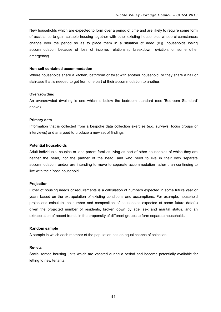New households which are expected to form over a period of time and are likely to require some form of assistance to gain suitable housing together with other existing households whose circumstances change over the period so as to place them in a situation of need (e.g. households losing accommodation because of loss of income, relationship breakdown, eviction, or some other emergency).

#### **Non-self contained accommodation**

Where households share a kitchen, bathroom or toilet with another household, or they share a hall or staircase that is needed to get from one part of their accommodation to another.

#### **Overcrowding**

An overcrowded dwelling is one which is below the bedroom standard (see 'Bedroom Standard' above).

#### **Primary data**

Information that is collected from a bespoke data collection exercise (e.g. surveys, focus groups or interviews) and analysed to produce a new set of findings.

## **Potential households**

Adult individuals, couples or lone parent families living as part of other households of which they are neither the head, nor the partner of the head, and who need to live in their own separate accommodation, and/or are intending to move to separate accommodation rather than continuing to live with their 'host' household.

#### **Projection**

Either of housing needs or requirements is a calculation of numbers expected in some future year or years based on the extrapolation of existing conditions and assumptions. For example, household projections calculate the number and composition of households expected at some future date(s) given the projected number of residents, broken down by age, sex and marital status, and an extrapolation of recent trends in the propensity of different groups to form separate households.

#### **Random sample**

A sample in which each member of the population has an equal chance of selection.

#### **Re-lets**

Social rented housing units which are vacated during a period and become potentially available for letting to new tenants.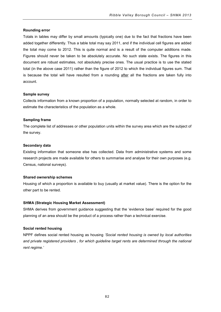## **Rounding error**

Totals in tables may differ by small amounts (typically one) due to the fact that fractions have been added together differently. Thus a table total may say 2011, and if the individual cell figures are added the total may come to 2012. This is quite normal and is a result of the computer additions made. Figures should never be taken to be absolutely accurate. No such state exists. The figures in this document are robust estimates, not absolutely precise ones. The usual practice is to use the stated total (in the above case 2011) rather than the figure of 2012 to which the individual figures sum. That is because the total will have resulted from a rounding after all the fractions are taken fully into account.

## **Sample survey**

Collects information from a known proportion of a population, normally selected at random, in order to estimate the characteristics of the population as a whole.

## **Sampling frame**

The complete list of addresses or other population units within the survey area which are the subject of the survey.

## **Secondary data**

Existing information that someone else has collected. Data from administrative systems and some research projects are made available for others to summarise and analyse for their own purposes (e.g. Census, national surveys).

#### **Shared ownership schemes**

Housing of which a proportion is available to buy (usually at market value). There is the option for the other part to be rented.

## **SHMA (Strategic Housing Market Assessment)**

SHMA derives from government guidance suggesting that the 'evidence base' required for the good planning of an area should be the product of a process rather than a technical exercise.

#### **Social rented housing**

NPPF defines social rented housing as housing *'Social rented housing is owned by local authorities*  and private registered providers, for which guideline target rents are determined through the national *rent regime.'*